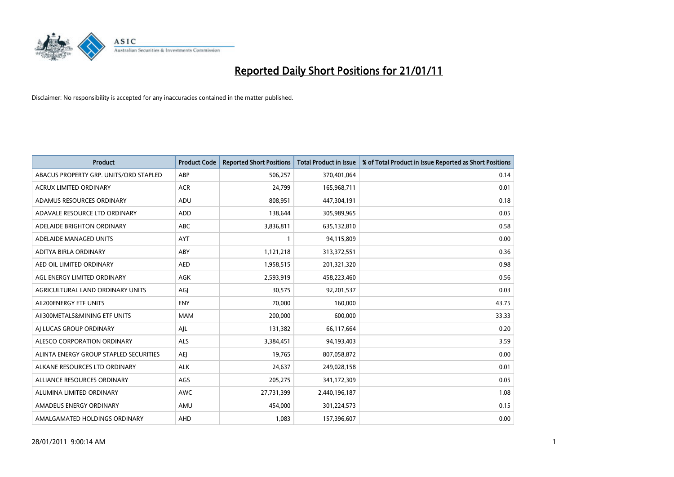

| <b>Product</b>                         | <b>Product Code</b> | <b>Reported Short Positions</b> | Total Product in Issue | % of Total Product in Issue Reported as Short Positions |
|----------------------------------------|---------------------|---------------------------------|------------------------|---------------------------------------------------------|
| ABACUS PROPERTY GRP. UNITS/ORD STAPLED | ABP                 | 506,257                         | 370,401,064            | 0.14                                                    |
| <b>ACRUX LIMITED ORDINARY</b>          | <b>ACR</b>          | 24,799                          | 165,968,711            | 0.01                                                    |
| ADAMUS RESOURCES ORDINARY              | ADU                 | 808,951                         | 447,304,191            | 0.18                                                    |
| ADAVALE RESOURCE LTD ORDINARY          | <b>ADD</b>          | 138,644                         | 305,989,965            | 0.05                                                    |
| ADELAIDE BRIGHTON ORDINARY             | <b>ABC</b>          | 3,836,811                       | 635,132,810            | 0.58                                                    |
| ADELAIDE MANAGED UNITS                 | <b>AYT</b>          |                                 | 94,115,809             | 0.00                                                    |
| ADITYA BIRLA ORDINARY                  | ABY                 | 1,121,218                       | 313,372,551            | 0.36                                                    |
| AED OIL LIMITED ORDINARY               | <b>AED</b>          | 1,958,515                       | 201,321,320            | 0.98                                                    |
| AGL ENERGY LIMITED ORDINARY            | <b>AGK</b>          | 2,593,919                       | 458,223,460            | 0.56                                                    |
| AGRICULTURAL LAND ORDINARY UNITS       | AGI                 | 30,575                          | 92,201,537             | 0.03                                                    |
| AII200ENERGY ETF UNITS                 | <b>ENY</b>          | 70,000                          | 160,000                | 43.75                                                   |
| AII300METALS&MINING ETF UNITS          | <b>MAM</b>          | 200,000                         | 600,000                | 33.33                                                   |
| AI LUCAS GROUP ORDINARY                | AJL                 | 131,382                         | 66,117,664             | 0.20                                                    |
| ALESCO CORPORATION ORDINARY            | <b>ALS</b>          | 3,384,451                       | 94,193,403             | 3.59                                                    |
| ALINTA ENERGY GROUP STAPLED SECURITIES | <b>AEI</b>          | 19,765                          | 807,058,872            | 0.00                                                    |
| ALKANE RESOURCES LTD ORDINARY          | <b>ALK</b>          | 24,637                          | 249,028,158            | 0.01                                                    |
| ALLIANCE RESOURCES ORDINARY            | AGS                 | 205,275                         | 341,172,309            | 0.05                                                    |
| ALUMINA LIMITED ORDINARY               | AWC                 | 27,731,399                      | 2,440,196,187          | 1.08                                                    |
| AMADEUS ENERGY ORDINARY                | AMU                 | 454.000                         | 301,224,573            | 0.15                                                    |
| AMALGAMATED HOLDINGS ORDINARY          | <b>AHD</b>          | 1.083                           | 157,396,607            | 0.00                                                    |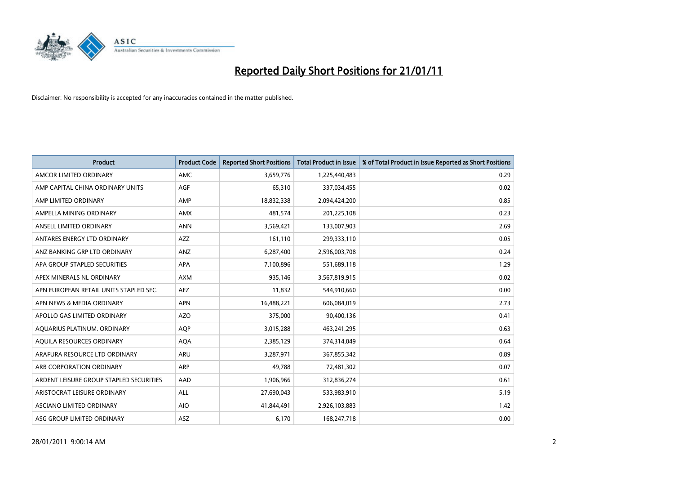

| <b>Product</b>                          | <b>Product Code</b> | <b>Reported Short Positions</b> | Total Product in Issue | % of Total Product in Issue Reported as Short Positions |
|-----------------------------------------|---------------------|---------------------------------|------------------------|---------------------------------------------------------|
| AMCOR LIMITED ORDINARY                  | <b>AMC</b>          | 3,659,776                       | 1,225,440,483          | 0.29                                                    |
| AMP CAPITAL CHINA ORDINARY UNITS        | AGF                 | 65,310                          | 337,034,455            | 0.02                                                    |
| AMP LIMITED ORDINARY                    | AMP                 | 18,832,338                      | 2,094,424,200          | 0.85                                                    |
| AMPELLA MINING ORDINARY                 | <b>AMX</b>          | 481,574                         | 201,225,108            | 0.23                                                    |
| ANSELL LIMITED ORDINARY                 | <b>ANN</b>          | 3,569,421                       | 133,007,903            | 2.69                                                    |
| ANTARES ENERGY LTD ORDINARY             | <b>AZZ</b>          | 161,110                         | 299,333,110            | 0.05                                                    |
| ANZ BANKING GRP LTD ORDINARY            | <b>ANZ</b>          | 6,287,400                       | 2,596,003,708          | 0.24                                                    |
| APA GROUP STAPLED SECURITIES            | <b>APA</b>          | 7,100,896                       | 551,689,118            | 1.29                                                    |
| APEX MINERALS NL ORDINARY               | <b>AXM</b>          | 935,146                         | 3,567,819,915          | 0.02                                                    |
| APN EUROPEAN RETAIL UNITS STAPLED SEC.  | <b>AEZ</b>          | 11,832                          | 544,910,660            | 0.00                                                    |
| APN NEWS & MEDIA ORDINARY               | <b>APN</b>          | 16,488,221                      | 606,084,019            | 2.73                                                    |
| APOLLO GAS LIMITED ORDINARY             | <b>AZO</b>          | 375,000                         | 90,400,136             | 0.41                                                    |
| AQUARIUS PLATINUM. ORDINARY             | <b>AOP</b>          | 3,015,288                       | 463,241,295            | 0.63                                                    |
| AQUILA RESOURCES ORDINARY               | <b>AQA</b>          | 2,385,129                       | 374,314,049            | 0.64                                                    |
| ARAFURA RESOURCE LTD ORDINARY           | <b>ARU</b>          | 3,287,971                       | 367,855,342            | 0.89                                                    |
| ARB CORPORATION ORDINARY                | ARP                 | 49.788                          | 72,481,302             | 0.07                                                    |
| ARDENT LEISURE GROUP STAPLED SECURITIES | AAD                 | 1,906,966                       | 312,836,274            | 0.61                                                    |
| ARISTOCRAT LEISURE ORDINARY             | ALL                 | 27,690,043                      | 533,983,910            | 5.19                                                    |
| <b>ASCIANO LIMITED ORDINARY</b>         | <b>AIO</b>          | 41,844,491                      | 2,926,103,883          | 1.42                                                    |
| ASG GROUP LIMITED ORDINARY              | ASZ                 | 6,170                           | 168,247,718            | 0.00                                                    |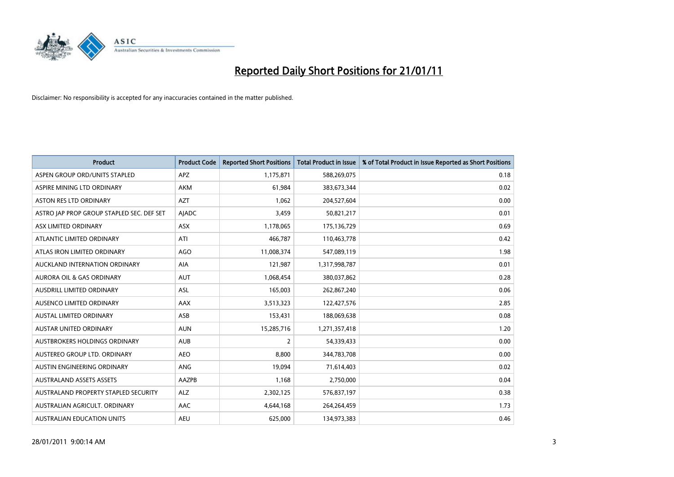

| <b>Product</b>                            | <b>Product Code</b> | <b>Reported Short Positions</b> | <b>Total Product in Issue</b> | % of Total Product in Issue Reported as Short Positions |
|-------------------------------------------|---------------------|---------------------------------|-------------------------------|---------------------------------------------------------|
| ASPEN GROUP ORD/UNITS STAPLED             | <b>APZ</b>          | 1,175,871                       | 588,269,075                   | 0.18                                                    |
| ASPIRE MINING LTD ORDINARY                | AKM                 | 61,984                          | 383,673,344                   | 0.02                                                    |
| <b>ASTON RES LTD ORDINARY</b>             | <b>AZT</b>          | 1,062                           | 204,527,604                   | 0.00                                                    |
| ASTRO JAP PROP GROUP STAPLED SEC. DEF SET | <b>AJADC</b>        | 3,459                           | 50,821,217                    | 0.01                                                    |
| ASX LIMITED ORDINARY                      | <b>ASX</b>          | 1,178,065                       | 175,136,729                   | 0.69                                                    |
| ATLANTIC LIMITED ORDINARY                 | ATI                 | 466,787                         | 110,463,778                   | 0.42                                                    |
| ATLAS IRON LIMITED ORDINARY               | <b>AGO</b>          | 11,008,374                      | 547,089,119                   | 1.98                                                    |
| AUCKLAND INTERNATION ORDINARY             | AIA                 | 121,987                         | 1,317,998,787                 | 0.01                                                    |
| AURORA OIL & GAS ORDINARY                 | <b>AUT</b>          | 1,068,454                       | 380,037,862                   | 0.28                                                    |
| <b>AUSDRILL LIMITED ORDINARY</b>          | <b>ASL</b>          | 165,003                         | 262,867,240                   | 0.06                                                    |
| AUSENCO LIMITED ORDINARY                  | AAX                 | 3,513,323                       | 122,427,576                   | 2.85                                                    |
| <b>AUSTAL LIMITED ORDINARY</b>            | ASB                 | 153,431                         | 188,069,638                   | 0.08                                                    |
| AUSTAR UNITED ORDINARY                    | <b>AUN</b>          | 15,285,716                      | 1,271,357,418                 | 1.20                                                    |
| <b>AUSTBROKERS HOLDINGS ORDINARY</b>      | <b>AUB</b>          | 2                               | 54,339,433                    | 0.00                                                    |
| AUSTEREO GROUP LTD. ORDINARY              | <b>AEO</b>          | 8,800                           | 344,783,708                   | 0.00                                                    |
| AUSTIN ENGINEERING ORDINARY               | ANG                 | 19,094                          | 71,614,403                    | 0.02                                                    |
| <b>AUSTRALAND ASSETS ASSETS</b>           | <b>AAZPB</b>        | 1,168                           | 2,750,000                     | 0.04                                                    |
| AUSTRALAND PROPERTY STAPLED SECURITY      | <b>ALZ</b>          | 2,302,125                       | 576,837,197                   | 0.38                                                    |
| AUSTRALIAN AGRICULT, ORDINARY             | <b>AAC</b>          | 4,644,168                       | 264,264,459                   | 1.73                                                    |
| <b>AUSTRALIAN EDUCATION UNITS</b>         | <b>AEU</b>          | 625,000                         | 134,973,383                   | 0.46                                                    |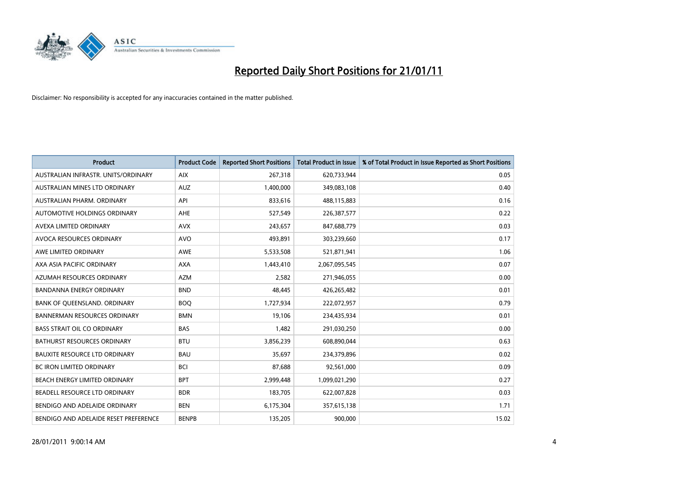

| <b>Product</b>                        | <b>Product Code</b> | <b>Reported Short Positions</b> | <b>Total Product in Issue</b> | % of Total Product in Issue Reported as Short Positions |
|---------------------------------------|---------------------|---------------------------------|-------------------------------|---------------------------------------------------------|
| AUSTRALIAN INFRASTR. UNITS/ORDINARY   | <b>AIX</b>          | 267,318                         | 620,733,944                   | 0.05                                                    |
| AUSTRALIAN MINES LTD ORDINARY         | <b>AUZ</b>          | 1,400,000                       | 349,083,108                   | 0.40                                                    |
| AUSTRALIAN PHARM, ORDINARY            | API                 | 833,616                         | 488,115,883                   | 0.16                                                    |
| AUTOMOTIVE HOLDINGS ORDINARY          | <b>AHE</b>          | 527,549                         | 226,387,577                   | 0.22                                                    |
| AVEXA LIMITED ORDINARY                | <b>AVX</b>          | 243,657                         | 847,688,779                   | 0.03                                                    |
| AVOCA RESOURCES ORDINARY              | <b>AVO</b>          | 493,891                         | 303,239,660                   | 0.17                                                    |
| AWE LIMITED ORDINARY                  | <b>AWE</b>          | 5,533,508                       | 521,871,941                   | 1.06                                                    |
| AXA ASIA PACIFIC ORDINARY             | <b>AXA</b>          | 1,443,410                       | 2,067,095,545                 | 0.07                                                    |
| AZUMAH RESOURCES ORDINARY             | <b>AZM</b>          | 2,582                           | 271,946,055                   | 0.00                                                    |
| <b>BANDANNA ENERGY ORDINARY</b>       | <b>BND</b>          | 48,445                          | 426,265,482                   | 0.01                                                    |
| BANK OF QUEENSLAND. ORDINARY          | <b>BOQ</b>          | 1,727,934                       | 222,072,957                   | 0.79                                                    |
| <b>BANNERMAN RESOURCES ORDINARY</b>   | <b>BMN</b>          | 19,106                          | 234,435,934                   | 0.01                                                    |
| <b>BASS STRAIT OIL CO ORDINARY</b>    | <b>BAS</b>          | 1,482                           | 291,030,250                   | 0.00                                                    |
| <b>BATHURST RESOURCES ORDINARY</b>    | <b>BTU</b>          | 3,856,239                       | 608,890,044                   | 0.63                                                    |
| <b>BAUXITE RESOURCE LTD ORDINARY</b>  | <b>BAU</b>          | 35,697                          | 234,379,896                   | 0.02                                                    |
| BC IRON LIMITED ORDINARY              | <b>BCI</b>          | 87,688                          | 92,561,000                    | 0.09                                                    |
| BEACH ENERGY LIMITED ORDINARY         | <b>BPT</b>          | 2,999,448                       | 1,099,021,290                 | 0.27                                                    |
| BEADELL RESOURCE LTD ORDINARY         | <b>BDR</b>          | 183,705                         | 622,007,828                   | 0.03                                                    |
| BENDIGO AND ADELAIDE ORDINARY         | <b>BEN</b>          | 6,175,304                       | 357,615,138                   | 1.71                                                    |
| BENDIGO AND ADELAIDE RESET PREFERENCE | <b>BENPB</b>        | 135,205                         | 900,000                       | 15.02                                                   |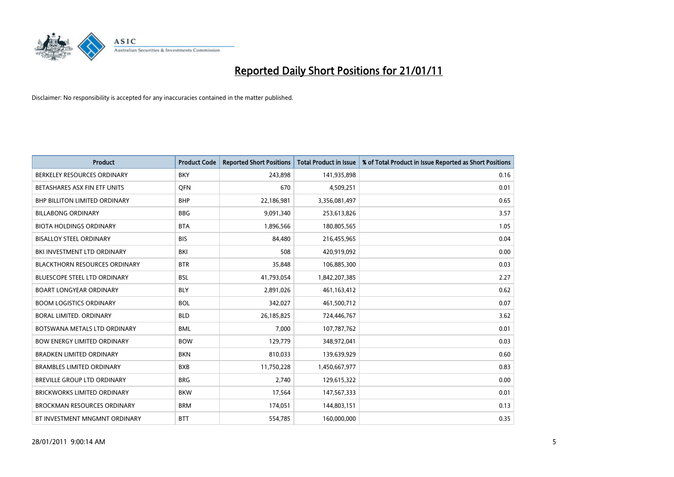

| <b>Product</b>                       | <b>Product Code</b> | <b>Reported Short Positions</b> | <b>Total Product in Issue</b> | % of Total Product in Issue Reported as Short Positions |
|--------------------------------------|---------------------|---------------------------------|-------------------------------|---------------------------------------------------------|
| BERKELEY RESOURCES ORDINARY          | <b>BKY</b>          | 243,898                         | 141,935,898                   | 0.16                                                    |
| BETASHARES ASX FIN ETF UNITS         | <b>OFN</b>          | 670                             | 4,509,251                     | 0.01                                                    |
| <b>BHP BILLITON LIMITED ORDINARY</b> | <b>BHP</b>          | 22,186,981                      | 3,356,081,497                 | 0.65                                                    |
| <b>BILLABONG ORDINARY</b>            | <b>BBG</b>          | 9,091,340                       | 253,613,826                   | 3.57                                                    |
| <b>BIOTA HOLDINGS ORDINARY</b>       | <b>BTA</b>          | 1,896,566                       | 180,805,565                   | 1.05                                                    |
| <b>BISALLOY STEEL ORDINARY</b>       | <b>BIS</b>          | 84,480                          | 216,455,965                   | 0.04                                                    |
| BKI INVESTMENT LTD ORDINARY          | <b>BKI</b>          | 508                             | 420,919,092                   | 0.00                                                    |
| <b>BLACKTHORN RESOURCES ORDINARY</b> | <b>BTR</b>          | 35,848                          | 106,885,300                   | 0.03                                                    |
| <b>BLUESCOPE STEEL LTD ORDINARY</b>  | <b>BSL</b>          | 41,793,054                      | 1,842,207,385                 | 2.27                                                    |
| <b>BOART LONGYEAR ORDINARY</b>       | <b>BLY</b>          | 2,891,026                       | 461,163,412                   | 0.62                                                    |
| <b>BOOM LOGISTICS ORDINARY</b>       | <b>BOL</b>          | 342,027                         | 461,500,712                   | 0.07                                                    |
| BORAL LIMITED, ORDINARY              | <b>BLD</b>          | 26,185,825                      | 724,446,767                   | 3.62                                                    |
| BOTSWANA METALS LTD ORDINARY         | <b>BML</b>          | 7,000                           | 107,787,762                   | 0.01                                                    |
| <b>BOW ENERGY LIMITED ORDINARY</b>   | <b>BOW</b>          | 129,779                         | 348,972,041                   | 0.03                                                    |
| <b>BRADKEN LIMITED ORDINARY</b>      | <b>BKN</b>          | 810,033                         | 139,639,929                   | 0.60                                                    |
| <b>BRAMBLES LIMITED ORDINARY</b>     | <b>BXB</b>          | 11,750,228                      | 1,450,667,977                 | 0.83                                                    |
| <b>BREVILLE GROUP LTD ORDINARY</b>   | <b>BRG</b>          | 2,740                           | 129,615,322                   | 0.00                                                    |
| BRICKWORKS LIMITED ORDINARY          | <b>BKW</b>          | 17,564                          | 147,567,333                   | 0.01                                                    |
| <b>BROCKMAN RESOURCES ORDINARY</b>   | <b>BRM</b>          | 174,051                         | 144,803,151                   | 0.13                                                    |
| BT INVESTMENT MNGMNT ORDINARY        | <b>BTT</b>          | 554,785                         | 160,000,000                   | 0.35                                                    |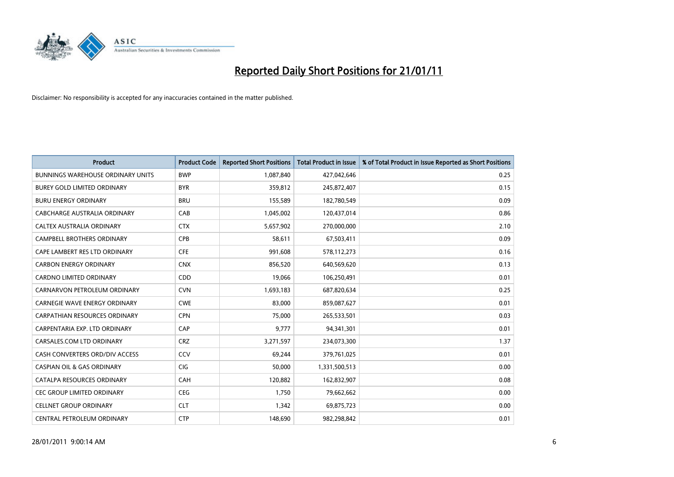

| <b>Product</b>                           | <b>Product Code</b> | <b>Reported Short Positions</b> | <b>Total Product in Issue</b> | % of Total Product in Issue Reported as Short Positions |
|------------------------------------------|---------------------|---------------------------------|-------------------------------|---------------------------------------------------------|
| <b>BUNNINGS WAREHOUSE ORDINARY UNITS</b> | <b>BWP</b>          | 1,087,840                       | 427,042,646                   | 0.25                                                    |
| BUREY GOLD LIMITED ORDINARY              | <b>BYR</b>          | 359,812                         | 245,872,407                   | 0.15                                                    |
| <b>BURU ENERGY ORDINARY</b>              | <b>BRU</b>          | 155,589                         | 182,780,549                   | 0.09                                                    |
| CABCHARGE AUSTRALIA ORDINARY             | CAB                 | 1,045,002                       | 120,437,014                   | 0.86                                                    |
| CALTEX AUSTRALIA ORDINARY                | <b>CTX</b>          | 5,657,902                       | 270,000,000                   | 2.10                                                    |
| CAMPBELL BROTHERS ORDINARY               | <b>CPB</b>          | 58,611                          | 67,503,411                    | 0.09                                                    |
| CAPE LAMBERT RES LTD ORDINARY            | <b>CFE</b>          | 991,608                         | 578,112,273                   | 0.16                                                    |
| <b>CARBON ENERGY ORDINARY</b>            | <b>CNX</b>          | 856,520                         | 640,569,620                   | 0.13                                                    |
| CARDNO LIMITED ORDINARY                  | CDD                 | 19,066                          | 106,250,491                   | 0.01                                                    |
| CARNARVON PETROLEUM ORDINARY             | <b>CVN</b>          | 1,693,183                       | 687,820,634                   | 0.25                                                    |
| <b>CARNEGIE WAVE ENERGY ORDINARY</b>     | <b>CWE</b>          | 83,000                          | 859,087,627                   | 0.01                                                    |
| <b>CARPATHIAN RESOURCES ORDINARY</b>     | <b>CPN</b>          | 75,000                          | 265,533,501                   | 0.03                                                    |
| CARPENTARIA EXP. LTD ORDINARY            | CAP                 | 9,777                           | 94,341,301                    | 0.01                                                    |
| CARSALES.COM LTD ORDINARY                | <b>CRZ</b>          | 3,271,597                       | 234,073,300                   | 1.37                                                    |
| CASH CONVERTERS ORD/DIV ACCESS           | CCV                 | 69,244                          | 379,761,025                   | 0.01                                                    |
| <b>CASPIAN OIL &amp; GAS ORDINARY</b>    | CIG                 | 50,000                          | 1,331,500,513                 | 0.00                                                    |
| CATALPA RESOURCES ORDINARY               | CAH                 | 120,882                         | 162,832,907                   | 0.08                                                    |
| <b>CEC GROUP LIMITED ORDINARY</b>        | <b>CEG</b>          | 1,750                           | 79,662,662                    | 0.00                                                    |
| <b>CELLNET GROUP ORDINARY</b>            | <b>CLT</b>          | 1,342                           | 69,875,723                    | 0.00                                                    |
| CENTRAL PETROLEUM ORDINARY               | <b>CTP</b>          | 148.690                         | 982,298,842                   | 0.01                                                    |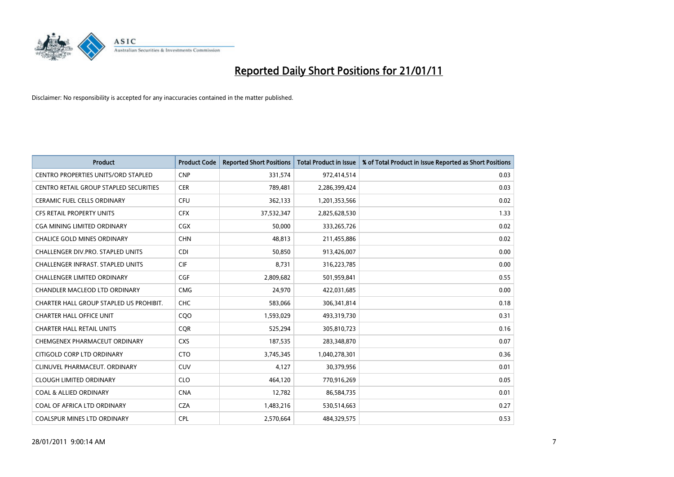

| <b>Product</b>                             | <b>Product Code</b> | <b>Reported Short Positions</b> | Total Product in Issue | % of Total Product in Issue Reported as Short Positions |
|--------------------------------------------|---------------------|---------------------------------|------------------------|---------------------------------------------------------|
| <b>CENTRO PROPERTIES UNITS/ORD STAPLED</b> | <b>CNP</b>          | 331,574                         | 972,414,514            | 0.03                                                    |
| CENTRO RETAIL GROUP STAPLED SECURITIES     | <b>CER</b>          | 789,481                         | 2,286,399,424          | 0.03                                                    |
| <b>CERAMIC FUEL CELLS ORDINARY</b>         | <b>CFU</b>          | 362,133                         | 1,201,353,566          | 0.02                                                    |
| CFS RETAIL PROPERTY UNITS                  | <b>CFX</b>          | 37,532,347                      | 2,825,628,530          | 1.33                                                    |
| CGA MINING LIMITED ORDINARY                | <b>CGX</b>          | 50,000                          | 333,265,726            | 0.02                                                    |
| <b>CHALICE GOLD MINES ORDINARY</b>         | <b>CHN</b>          | 48.813                          | 211,455,886            | 0.02                                                    |
| CHALLENGER DIV.PRO. STAPLED UNITS          | <b>CDI</b>          | 50,850                          | 913,426,007            | 0.00                                                    |
| <b>CHALLENGER INFRAST. STAPLED UNITS</b>   | <b>CIF</b>          | 8,731                           | 316,223,785            | 0.00                                                    |
| CHALLENGER LIMITED ORDINARY                | <b>CGF</b>          | 2,809,682                       | 501,959,841            | 0.55                                                    |
| <b>CHANDLER MACLEOD LTD ORDINARY</b>       | <b>CMG</b>          | 24.970                          | 422,031,685            | 0.00                                                    |
| CHARTER HALL GROUP STAPLED US PROHIBIT.    | <b>CHC</b>          | 583,066                         | 306,341,814            | 0.18                                                    |
| <b>CHARTER HALL OFFICE UNIT</b>            | COO                 | 1,593,029                       | 493,319,730            | 0.31                                                    |
| <b>CHARTER HALL RETAIL UNITS</b>           | <b>COR</b>          | 525,294                         | 305,810,723            | 0.16                                                    |
| CHEMGENEX PHARMACEUT ORDINARY              | <b>CXS</b>          | 187,535                         | 283,348,870            | 0.07                                                    |
| CITIGOLD CORP LTD ORDINARY                 | <b>CTO</b>          | 3,745,345                       | 1,040,278,301          | 0.36                                                    |
| CLINUVEL PHARMACEUT, ORDINARY              | <b>CUV</b>          | 4,127                           | 30,379,956             | 0.01                                                    |
| <b>CLOUGH LIMITED ORDINARY</b>             | <b>CLO</b>          | 464,120                         | 770,916,269            | 0.05                                                    |
| <b>COAL &amp; ALLIED ORDINARY</b>          | <b>CNA</b>          | 12,782                          | 86,584,735             | 0.01                                                    |
| COAL OF AFRICA LTD ORDINARY                | <b>CZA</b>          | 1,483,216                       | 530,514,663            | 0.27                                                    |
| COALSPUR MINES LTD ORDINARY                | <b>CPL</b>          | 2,570,664                       | 484,329,575            | 0.53                                                    |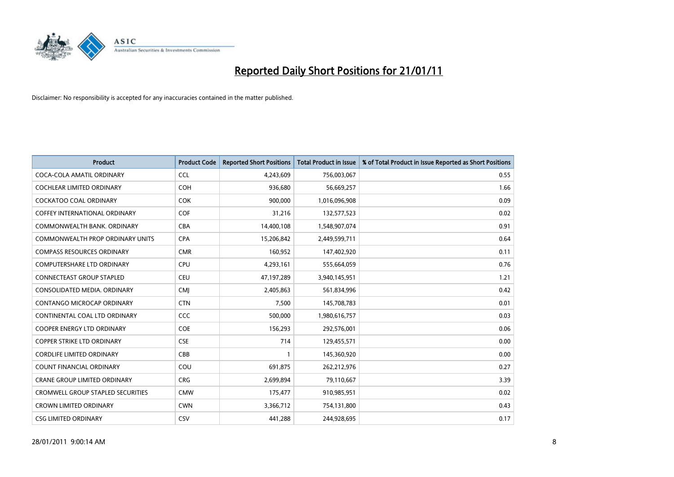

| <b>Product</b>                       | <b>Product Code</b> | <b>Reported Short Positions</b> | <b>Total Product in Issue</b> | % of Total Product in Issue Reported as Short Positions |
|--------------------------------------|---------------------|---------------------------------|-------------------------------|---------------------------------------------------------|
| COCA-COLA AMATIL ORDINARY            | <b>CCL</b>          | 4,243,609                       | 756,003,067                   | 0.55                                                    |
| COCHLEAR LIMITED ORDINARY            | <b>COH</b>          | 936,680                         | 56,669,257                    | 1.66                                                    |
| <b>COCKATOO COAL ORDINARY</b>        | <b>COK</b>          | 900,000                         | 1,016,096,908                 | 0.09                                                    |
| <b>COFFEY INTERNATIONAL ORDINARY</b> | <b>COF</b>          | 31,216                          | 132,577,523                   | 0.02                                                    |
| COMMONWEALTH BANK, ORDINARY          | <b>CBA</b>          | 14,400,108                      | 1,548,907,074                 | 0.91                                                    |
| COMMONWEALTH PROP ORDINARY UNITS     | <b>CPA</b>          | 15,206,842                      | 2,449,599,711                 | 0.64                                                    |
| <b>COMPASS RESOURCES ORDINARY</b>    | <b>CMR</b>          | 160,952                         | 147,402,920                   | 0.11                                                    |
| <b>COMPUTERSHARE LTD ORDINARY</b>    | <b>CPU</b>          | 4,293,161                       | 555,664,059                   | 0.76                                                    |
| CONNECTEAST GROUP STAPLED            | <b>CEU</b>          | 47,197,289                      | 3,940,145,951                 | 1.21                                                    |
| CONSOLIDATED MEDIA, ORDINARY         | <b>CMI</b>          | 2,405,863                       | 561,834,996                   | 0.42                                                    |
| CONTANGO MICROCAP ORDINARY           | <b>CTN</b>          | 7,500                           | 145,708,783                   | 0.01                                                    |
| CONTINENTAL COAL LTD ORDINARY        | <b>CCC</b>          | 500,000                         | 1,980,616,757                 | 0.03                                                    |
| <b>COOPER ENERGY LTD ORDINARY</b>    | <b>COE</b>          | 156,293                         | 292,576,001                   | 0.06                                                    |
| <b>COPPER STRIKE LTD ORDINARY</b>    | <b>CSE</b>          | 714                             | 129,455,571                   | 0.00                                                    |
| <b>CORDLIFE LIMITED ORDINARY</b>     | CBB                 |                                 | 145,360,920                   | 0.00                                                    |
| COUNT FINANCIAL ORDINARY             | COU                 | 691,875                         | 262,212,976                   | 0.27                                                    |
| <b>CRANE GROUP LIMITED ORDINARY</b>  | <b>CRG</b>          | 2,699,894                       | 79,110,667                    | 3.39                                                    |
| CROMWELL GROUP STAPLED SECURITIES    | <b>CMW</b>          | 175,477                         | 910,985,951                   | 0.02                                                    |
| <b>CROWN LIMITED ORDINARY</b>        | <b>CWN</b>          | 3,366,712                       | 754,131,800                   | 0.43                                                    |
| <b>CSG LIMITED ORDINARY</b>          | CSV                 | 441,288                         | 244,928,695                   | 0.17                                                    |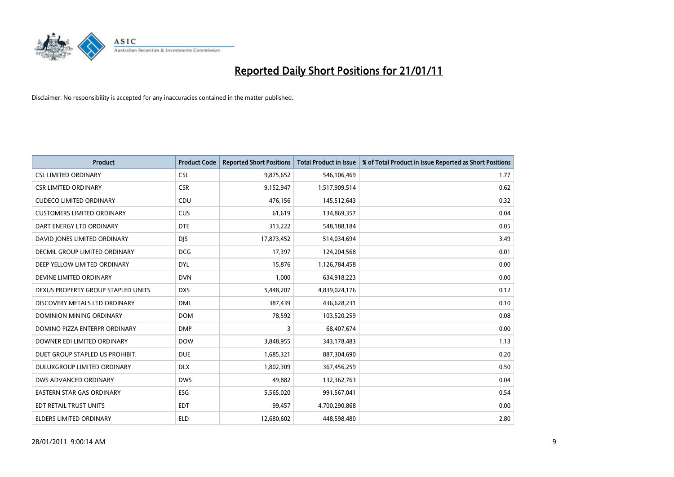

| <b>Product</b>                     | <b>Product Code</b> | <b>Reported Short Positions</b> | <b>Total Product in Issue</b> | % of Total Product in Issue Reported as Short Positions |
|------------------------------------|---------------------|---------------------------------|-------------------------------|---------------------------------------------------------|
| <b>CSL LIMITED ORDINARY</b>        | <b>CSL</b>          | 9,875,652                       | 546,106,469                   | 1.77                                                    |
| <b>CSR LIMITED ORDINARY</b>        | <b>CSR</b>          | 9,152,947                       | 1,517,909,514                 | 0.62                                                    |
| <b>CUDECO LIMITED ORDINARY</b>     | CDU                 | 476,156                         | 145,512,643                   | 0.32                                                    |
| <b>CUSTOMERS LIMITED ORDINARY</b>  | <b>CUS</b>          | 61,619                          | 134,869,357                   | 0.04                                                    |
| DART ENERGY LTD ORDINARY           | <b>DTE</b>          | 313,222                         | 548,188,184                   | 0.05                                                    |
| DAVID JONES LIMITED ORDINARY       | <b>DJS</b>          | 17,873,452                      | 514,034,694                   | 3.49                                                    |
| DECMIL GROUP LIMITED ORDINARY      | <b>DCG</b>          | 17,397                          | 124,204,568                   | 0.01                                                    |
| DEEP YELLOW LIMITED ORDINARY       | <b>DYL</b>          | 15,876                          | 1,126,784,458                 | 0.00                                                    |
| DEVINE LIMITED ORDINARY            | <b>DVN</b>          | 1,000                           | 634,918,223                   | 0.00                                                    |
| DEXUS PROPERTY GROUP STAPLED UNITS | <b>DXS</b>          | 5,448,207                       | 4,839,024,176                 | 0.12                                                    |
| DISCOVERY METALS LTD ORDINARY      | <b>DML</b>          | 387,439                         | 436,628,231                   | 0.10                                                    |
| <b>DOMINION MINING ORDINARY</b>    | <b>DOM</b>          | 78,592                          | 103,520,259                   | 0.08                                                    |
| DOMINO PIZZA ENTERPR ORDINARY      | <b>DMP</b>          | 3                               | 68,407,674                    | 0.00                                                    |
| DOWNER EDI LIMITED ORDINARY        | <b>DOW</b>          | 3,848,955                       | 343,178,483                   | 1.13                                                    |
| DUET GROUP STAPLED US PROHIBIT.    | <b>DUE</b>          | 1,685,321                       | 887,304,690                   | 0.20                                                    |
| DULUXGROUP LIMITED ORDINARY        | <b>DLX</b>          | 1,802,309                       | 367,456,259                   | 0.50                                                    |
| DWS ADVANCED ORDINARY              | <b>DWS</b>          | 49,882                          | 132,362,763                   | 0.04                                                    |
| EASTERN STAR GAS ORDINARY          | <b>ESG</b>          | 5,565,020                       | 991,567,041                   | 0.54                                                    |
| EDT RETAIL TRUST UNITS             | EDT                 | 99,457                          | 4,700,290,868                 | 0.00                                                    |
| <b>ELDERS LIMITED ORDINARY</b>     | <b>ELD</b>          | 12,680,602                      | 448,598,480                   | 2.80                                                    |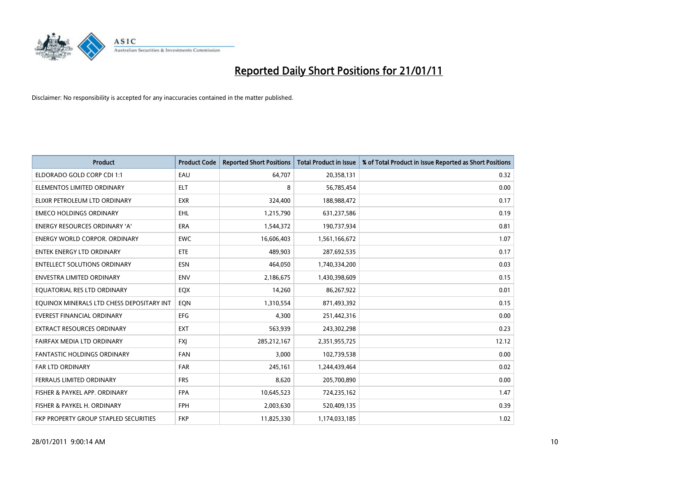

| <b>Product</b>                            | <b>Product Code</b> | <b>Reported Short Positions</b> | Total Product in Issue | % of Total Product in Issue Reported as Short Positions |
|-------------------------------------------|---------------------|---------------------------------|------------------------|---------------------------------------------------------|
| ELDORADO GOLD CORP CDI 1:1                | EAU                 | 64,707                          | 20,358,131             | 0.32                                                    |
| ELEMENTOS LIMITED ORDINARY                | <b>ELT</b>          | 8                               | 56,785,454             | 0.00                                                    |
| ELIXIR PETROLEUM LTD ORDINARY             | <b>EXR</b>          | 324,400                         | 188,988,472            | 0.17                                                    |
| <b>EMECO HOLDINGS ORDINARY</b>            | <b>EHL</b>          | 1,215,790                       | 631,237,586            | 0.19                                                    |
| <b>ENERGY RESOURCES ORDINARY 'A'</b>      | <b>ERA</b>          | 1,544,372                       | 190,737,934            | 0.81                                                    |
| <b>ENERGY WORLD CORPOR, ORDINARY</b>      | <b>EWC</b>          | 16,606,403                      | 1,561,166,672          | 1.07                                                    |
| <b>ENTEK ENERGY LTD ORDINARY</b>          | ETE                 | 489.903                         | 287,692,535            | 0.17                                                    |
| <b>ENTELLECT SOLUTIONS ORDINARY</b>       | <b>ESN</b>          | 464,050                         | 1,740,334,200          | 0.03                                                    |
| ENVESTRA LIMITED ORDINARY                 | <b>ENV</b>          | 2,186,675                       | 1,430,398,609          | 0.15                                                    |
| EQUATORIAL RES LTD ORDINARY               | EQX                 | 14,260                          | 86,267,922             | 0.01                                                    |
| EQUINOX MINERALS LTD CHESS DEPOSITARY INT | EON                 | 1,310,554                       | 871,493,392            | 0.15                                                    |
| <b>EVEREST FINANCIAL ORDINARY</b>         | <b>EFG</b>          | 4,300                           | 251,442,316            | 0.00                                                    |
| <b>EXTRACT RESOURCES ORDINARY</b>         | <b>EXT</b>          | 563,939                         | 243,302,298            | 0.23                                                    |
| FAIRFAX MEDIA LTD ORDINARY                | <b>FXI</b>          | 285,212,167                     | 2,351,955,725          | 12.12                                                   |
| <b>FANTASTIC HOLDINGS ORDINARY</b>        | <b>FAN</b>          | 3,000                           | 102,739,538            | 0.00                                                    |
| <b>FAR LTD ORDINARY</b>                   | <b>FAR</b>          | 245,161                         | 1,244,439,464          | 0.02                                                    |
| FERRAUS LIMITED ORDINARY                  | <b>FRS</b>          | 8,620                           | 205,700,890            | 0.00                                                    |
| FISHER & PAYKEL APP. ORDINARY             | <b>FPA</b>          | 10,645,523                      | 724,235,162            | 1.47                                                    |
| FISHER & PAYKEL H. ORDINARY               | <b>FPH</b>          | 2,003,630                       | 520,409,135            | 0.39                                                    |
| FKP PROPERTY GROUP STAPLED SECURITIES     | <b>FKP</b>          | 11,825,330                      | 1,174,033,185          | 1.02                                                    |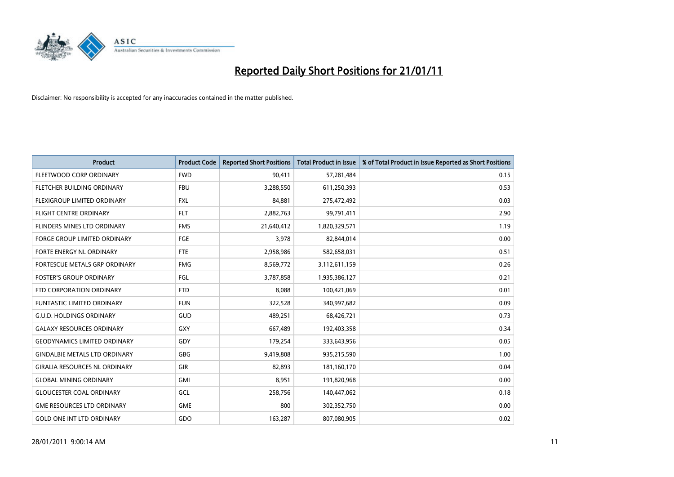

| <b>Product</b>                       | <b>Product Code</b> | <b>Reported Short Positions</b> | Total Product in Issue | % of Total Product in Issue Reported as Short Positions |
|--------------------------------------|---------------------|---------------------------------|------------------------|---------------------------------------------------------|
| FLEETWOOD CORP ORDINARY              | <b>FWD</b>          | 90,411                          | 57,281,484             | 0.15                                                    |
| FLETCHER BUILDING ORDINARY           | <b>FBU</b>          | 3,288,550                       | 611,250,393            | 0.53                                                    |
| <b>FLEXIGROUP LIMITED ORDINARY</b>   | <b>FXL</b>          | 84,881                          | 275,472,492            | 0.03                                                    |
| <b>FLIGHT CENTRE ORDINARY</b>        | <b>FLT</b>          | 2,882,763                       | 99,791,411             | 2.90                                                    |
| FLINDERS MINES LTD ORDINARY          | <b>FMS</b>          | 21,640,412                      | 1,820,329,571          | 1.19                                                    |
| <b>FORGE GROUP LIMITED ORDINARY</b>  | FGE                 | 3,978                           | 82,844,014             | 0.00                                                    |
| FORTE ENERGY NL ORDINARY             | <b>FTE</b>          | 2,958,986                       | 582,658,031            | 0.51                                                    |
| FORTESCUE METALS GRP ORDINARY        | <b>FMG</b>          | 8,569,772                       | 3,112,611,159          | 0.26                                                    |
| <b>FOSTER'S GROUP ORDINARY</b>       | FGL                 | 3,787,858                       | 1,935,386,127          | 0.21                                                    |
| FTD CORPORATION ORDINARY             | <b>FTD</b>          | 8,088                           | 100,421,069            | 0.01                                                    |
| <b>FUNTASTIC LIMITED ORDINARY</b>    | <b>FUN</b>          | 322,528                         | 340,997,682            | 0.09                                                    |
| <b>G.U.D. HOLDINGS ORDINARY</b>      | GUD                 | 489,251                         | 68,426,721             | 0.73                                                    |
| <b>GALAXY RESOURCES ORDINARY</b>     | GXY                 | 667,489                         | 192,403,358            | 0.34                                                    |
| <b>GEODYNAMICS LIMITED ORDINARY</b>  | GDY                 | 179,254                         | 333,643,956            | 0.05                                                    |
| <b>GINDALBIE METALS LTD ORDINARY</b> | <b>GBG</b>          | 9,419,808                       | 935,215,590            | 1.00                                                    |
| <b>GIRALIA RESOURCES NL ORDINARY</b> | GIR                 | 82,893                          | 181,160,170            | 0.04                                                    |
| <b>GLOBAL MINING ORDINARY</b>        | <b>GMI</b>          | 8,951                           | 191,820,968            | 0.00                                                    |
| <b>GLOUCESTER COAL ORDINARY</b>      | <b>GCL</b>          | 258,756                         | 140,447,062            | 0.18                                                    |
| <b>GME RESOURCES LTD ORDINARY</b>    | <b>GME</b>          | 800                             | 302,352,750            | 0.00                                                    |
| <b>GOLD ONE INT LTD ORDINARY</b>     | GDO                 | 163,287                         | 807,080,905            | 0.02                                                    |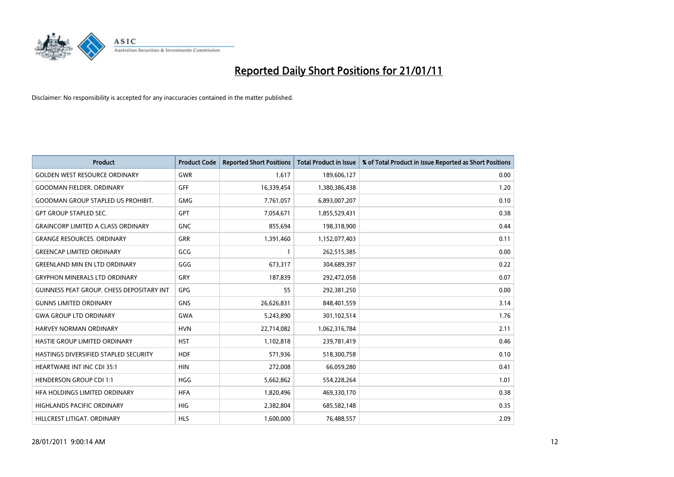

| <b>Product</b>                                   | <b>Product Code</b> | <b>Reported Short Positions</b> | <b>Total Product in Issue</b> | % of Total Product in Issue Reported as Short Positions |
|--------------------------------------------------|---------------------|---------------------------------|-------------------------------|---------------------------------------------------------|
| <b>GOLDEN WEST RESOURCE ORDINARY</b>             | <b>GWR</b>          | 1,617                           | 189,606,127                   | 0.00                                                    |
| <b>GOODMAN FIELDER, ORDINARY</b>                 | <b>GFF</b>          | 16,339,454                      | 1,380,386,438                 | 1.20                                                    |
| <b>GOODMAN GROUP STAPLED US PROHIBIT.</b>        | <b>GMG</b>          | 7,761,057                       | 6,893,007,207                 | 0.10                                                    |
| <b>GPT GROUP STAPLED SEC.</b>                    | GPT                 | 7,054,671                       | 1,855,529,431                 | 0.38                                                    |
| <b>GRAINCORP LIMITED A CLASS ORDINARY</b>        | <b>GNC</b>          | 855.694                         | 198,318,900                   | 0.44                                                    |
| <b>GRANGE RESOURCES, ORDINARY</b>                | GRR                 | 1,391,460                       | 1,152,077,403                 | 0.11                                                    |
| <b>GREENCAP LIMITED ORDINARY</b>                 | GCG                 |                                 | 262,515,385                   | 0.00                                                    |
| <b>GREENLAND MIN EN LTD ORDINARY</b>             | GGG                 | 673,317                         | 304,689,397                   | 0.22                                                    |
| <b>GRYPHON MINERALS LTD ORDINARY</b>             | GRY                 | 187,839                         | 292,472,058                   | 0.07                                                    |
| <b>GUINNESS PEAT GROUP. CHESS DEPOSITARY INT</b> | <b>GPG</b>          | 55                              | 292,381,250                   | 0.00                                                    |
| <b>GUNNS LIMITED ORDINARY</b>                    | <b>GNS</b>          | 26,626,831                      | 848,401,559                   | 3.14                                                    |
| <b>GWA GROUP LTD ORDINARY</b>                    | <b>GWA</b>          | 5,243,890                       | 301,102,514                   | 1.76                                                    |
| <b>HARVEY NORMAN ORDINARY</b>                    | <b>HVN</b>          | 22,714,082                      | 1,062,316,784                 | 2.11                                                    |
| HASTIE GROUP LIMITED ORDINARY                    | <b>HST</b>          | 1,102,818                       | 239,781,419                   | 0.46                                                    |
| HASTINGS DIVERSIFIED STAPLED SECURITY            | <b>HDF</b>          | 571,936                         | 518,300,758                   | 0.10                                                    |
| <b>HEARTWARE INT INC CDI 35:1</b>                | <b>HIN</b>          | 272,008                         | 66,059,280                    | 0.41                                                    |
| <b>HENDERSON GROUP CDI 1:1</b>                   | <b>HGG</b>          | 5,662,862                       | 554,228,264                   | 1.01                                                    |
| HFA HOLDINGS LIMITED ORDINARY                    | <b>HFA</b>          | 1,820,496                       | 469,330,170                   | 0.38                                                    |
| <b>HIGHLANDS PACIFIC ORDINARY</b>                | <b>HIG</b>          | 2,382,804                       | 685,582,148                   | 0.35                                                    |
| HILLCREST LITIGAT, ORDINARY                      | <b>HLS</b>          | 1,600,000                       | 76,488,557                    | 2.09                                                    |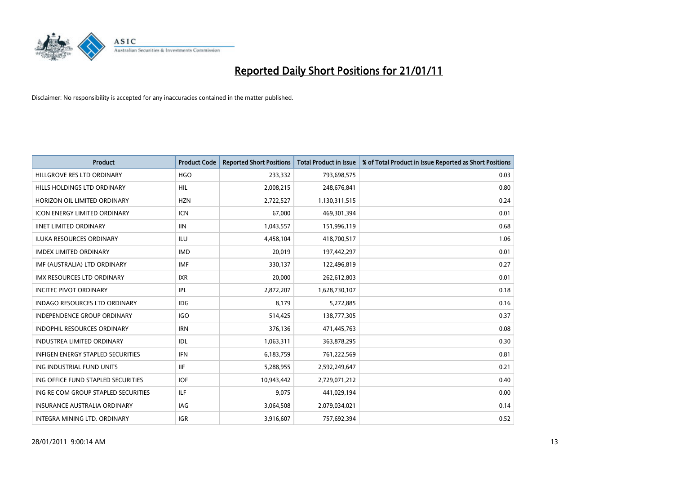

| Product                              | <b>Product Code</b> | <b>Reported Short Positions</b> | <b>Total Product in Issue</b> | % of Total Product in Issue Reported as Short Positions |
|--------------------------------------|---------------------|---------------------------------|-------------------------------|---------------------------------------------------------|
| HILLGROVE RES LTD ORDINARY           | <b>HGO</b>          | 233,332                         | 793,698,575                   | 0.03                                                    |
| HILLS HOLDINGS LTD ORDINARY          | <b>HIL</b>          | 2,008,215                       | 248,676,841                   | 0.80                                                    |
| HORIZON OIL LIMITED ORDINARY         | <b>HZN</b>          | 2,722,527                       | 1,130,311,515                 | 0.24                                                    |
| ICON ENERGY LIMITED ORDINARY         | <b>ICN</b>          | 67,000                          | 469,301,394                   | 0.01                                                    |
| <b>IINET LIMITED ORDINARY</b>        | <b>IIN</b>          | 1,043,557                       | 151,996,119                   | 0.68                                                    |
| <b>ILUKA RESOURCES ORDINARY</b>      | ILU                 | 4,458,104                       | 418,700,517                   | 1.06                                                    |
| <b>IMDEX LIMITED ORDINARY</b>        | <b>IMD</b>          | 20,019                          | 197,442,297                   | 0.01                                                    |
| IMF (AUSTRALIA) LTD ORDINARY         | <b>IMF</b>          | 330,137                         | 122,496,819                   | 0.27                                                    |
| IMX RESOURCES LTD ORDINARY           | <b>IXR</b>          | 20,000                          | 262,612,803                   | 0.01                                                    |
| <b>INCITEC PIVOT ORDINARY</b>        | IPL                 | 2,872,207                       | 1,628,730,107                 | 0.18                                                    |
| <b>INDAGO RESOURCES LTD ORDINARY</b> | <b>IDG</b>          | 8,179                           | 5,272,885                     | 0.16                                                    |
| INDEPENDENCE GROUP ORDINARY          | <b>IGO</b>          | 514,425                         | 138,777,305                   | 0.37                                                    |
| <b>INDOPHIL RESOURCES ORDINARY</b>   | <b>IRN</b>          | 376,136                         | 471,445,763                   | 0.08                                                    |
| <b>INDUSTREA LIMITED ORDINARY</b>    | IDL                 | 1,063,311                       | 363,878,295                   | 0.30                                                    |
| INFIGEN ENERGY STAPLED SECURITIES    | <b>IFN</b>          | 6,183,759                       | 761,222,569                   | 0.81                                                    |
| ING INDUSTRIAL FUND UNITS            | <b>IIF</b>          | 5,288,955                       | 2,592,249,647                 | 0.21                                                    |
| ING OFFICE FUND STAPLED SECURITIES   | <b>IOF</b>          | 10,943,442                      | 2,729,071,212                 | 0.40                                                    |
| ING RE COM GROUP STAPLED SECURITIES  | <b>ILF</b>          | 9,075                           | 441,029,194                   | 0.00                                                    |
| INSURANCE AUSTRALIA ORDINARY         | IAG                 | 3,064,508                       | 2,079,034,021                 | 0.14                                                    |
| INTEGRA MINING LTD. ORDINARY         | <b>IGR</b>          | 3,916,607                       | 757,692,394                   | 0.52                                                    |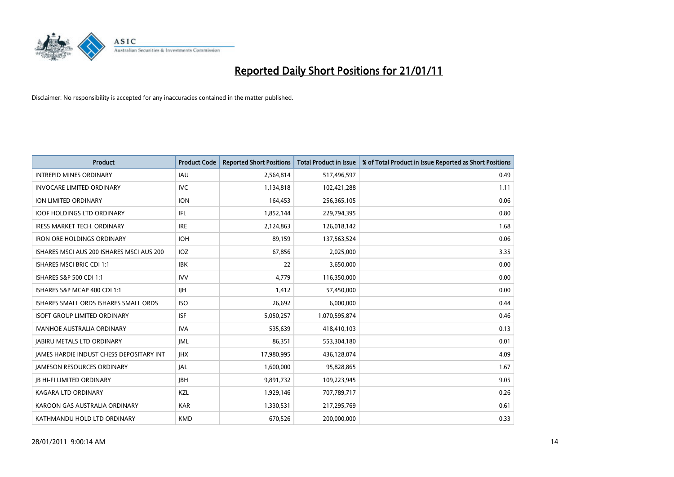

| Product                                         | <b>Product Code</b> | <b>Reported Short Positions</b> | <b>Total Product in Issue</b> | % of Total Product in Issue Reported as Short Positions |
|-------------------------------------------------|---------------------|---------------------------------|-------------------------------|---------------------------------------------------------|
| <b>INTREPID MINES ORDINARY</b>                  | <b>IAU</b>          | 2,564,814                       | 517,496,597                   | 0.49                                                    |
| <b>INVOCARE LIMITED ORDINARY</b>                | <b>IVC</b>          | 1,134,818                       | 102,421,288                   | 1.11                                                    |
| ION LIMITED ORDINARY                            | <b>ION</b>          | 164,453                         | 256,365,105                   | 0.06                                                    |
| <b>IOOF HOLDINGS LTD ORDINARY</b>               | <b>IFL</b>          | 1,852,144                       | 229,794,395                   | 0.80                                                    |
| <b>IRESS MARKET TECH. ORDINARY</b>              | <b>IRE</b>          | 2,124,863                       | 126,018,142                   | 1.68                                                    |
| <b>IRON ORE HOLDINGS ORDINARY</b>               | <b>IOH</b>          | 89,159                          | 137,563,524                   | 0.06                                                    |
| ISHARES MSCI AUS 200 ISHARES MSCI AUS 200       | <b>IOZ</b>          | 67,856                          | 2,025,000                     | 3.35                                                    |
| ISHARES MSCI BRIC CDI 1:1                       | <b>IBK</b>          | 22                              | 3,650,000                     | 0.00                                                    |
| ISHARES S&P 500 CDI 1:1                         | <b>IVV</b>          | 4,779                           | 116,350,000                   | 0.00                                                    |
| ISHARES S&P MCAP 400 CDI 1:1                    | <b>IIH</b>          | 1,412                           | 57,450,000                    | 0.00                                                    |
| ISHARES SMALL ORDS ISHARES SMALL ORDS           | <b>ISO</b>          | 26,692                          | 6,000,000                     | 0.44                                                    |
| <b>ISOFT GROUP LIMITED ORDINARY</b>             | <b>ISF</b>          | 5,050,257                       | 1,070,595,874                 | 0.46                                                    |
| <b>IVANHOE AUSTRALIA ORDINARY</b>               | <b>IVA</b>          | 535.639                         | 418,410,103                   | 0.13                                                    |
| <b>JABIRU METALS LTD ORDINARY</b>               | <b>IML</b>          | 86,351                          | 553,304,180                   | 0.01                                                    |
| <b>JAMES HARDIE INDUST CHESS DEPOSITARY INT</b> | <b>IHX</b>          | 17,980,995                      | 436,128,074                   | 4.09                                                    |
| <b>JAMESON RESOURCES ORDINARY</b>               | <b>JAL</b>          | 1,600,000                       | 95,828,865                    | 1.67                                                    |
| <b>JB HI-FI LIMITED ORDINARY</b>                | <b>JBH</b>          | 9,891,732                       | 109,223,945                   | 9.05                                                    |
| <b>KAGARA LTD ORDINARY</b>                      | KZL                 | 1,929,146                       | 707,789,717                   | 0.26                                                    |
| KAROON GAS AUSTRALIA ORDINARY                   | <b>KAR</b>          | 1,330,531                       | 217,295,769                   | 0.61                                                    |
| KATHMANDU HOLD LTD ORDINARY                     | <b>KMD</b>          | 670,526                         | 200,000,000                   | 0.33                                                    |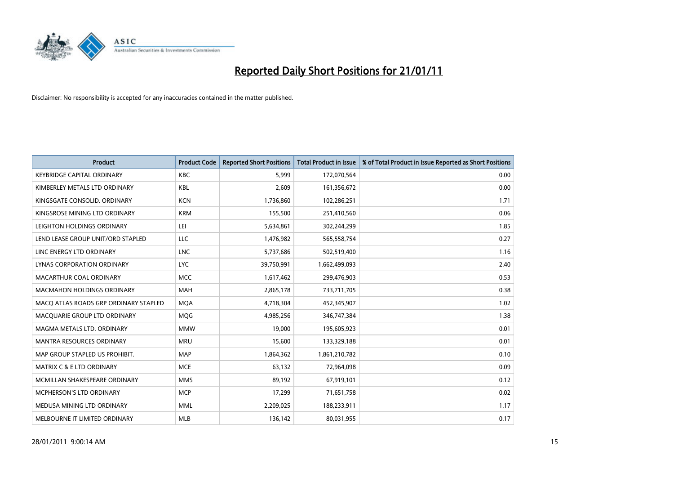

| <b>Product</b>                        | <b>Product Code</b> | <b>Reported Short Positions</b> | Total Product in Issue | % of Total Product in Issue Reported as Short Positions |
|---------------------------------------|---------------------|---------------------------------|------------------------|---------------------------------------------------------|
| <b>KEYBRIDGE CAPITAL ORDINARY</b>     | <b>KBC</b>          | 5,999                           | 172,070,564            | 0.00                                                    |
| KIMBERLEY METALS LTD ORDINARY         | KBL                 | 2.609                           | 161,356,672            | 0.00                                                    |
| KINGSGATE CONSOLID. ORDINARY          | <b>KCN</b>          | 1,736,860                       | 102,286,251            | 1.71                                                    |
| KINGSROSE MINING LTD ORDINARY         | <b>KRM</b>          | 155,500                         | 251,410,560            | 0.06                                                    |
| LEIGHTON HOLDINGS ORDINARY            | LEI                 | 5,634,861                       | 302,244,299            | 1.85                                                    |
| LEND LEASE GROUP UNIT/ORD STAPLED     | <b>LLC</b>          | 1,476,982                       | 565,558,754            | 0.27                                                    |
| LINC ENERGY LTD ORDINARY              | <b>LNC</b>          | 5,737,686                       | 502,519,400            | 1.16                                                    |
| LYNAS CORPORATION ORDINARY            | <b>LYC</b>          | 39,750,991                      | 1,662,499,093          | 2.40                                                    |
| MACARTHUR COAL ORDINARY               | <b>MCC</b>          | 1,617,462                       | 299,476,903            | 0.53                                                    |
| <b>MACMAHON HOLDINGS ORDINARY</b>     | <b>MAH</b>          | 2,865,178                       | 733,711,705            | 0.38                                                    |
| MACQ ATLAS ROADS GRP ORDINARY STAPLED | <b>MOA</b>          | 4,718,304                       | 452,345,907            | 1.02                                                    |
| MACQUARIE GROUP LTD ORDINARY          | MQG                 | 4,985,256                       | 346,747,384            | 1.38                                                    |
| MAGMA METALS LTD. ORDINARY            | <b>MMW</b>          | 19.000                          | 195,605,923            | 0.01                                                    |
| <b>MANTRA RESOURCES ORDINARY</b>      | <b>MRU</b>          | 15,600                          | 133,329,188            | 0.01                                                    |
| MAP GROUP STAPLED US PROHIBIT.        | <b>MAP</b>          | 1,864,362                       | 1,861,210,782          | 0.10                                                    |
| <b>MATRIX C &amp; E LTD ORDINARY</b>  | <b>MCE</b>          | 63,132                          | 72,964,098             | 0.09                                                    |
| MCMILLAN SHAKESPEARE ORDINARY         | <b>MMS</b>          | 89,192                          | 67,919,101             | 0.12                                                    |
| MCPHERSON'S LTD ORDINARY              | <b>MCP</b>          | 17,299                          | 71,651,758             | 0.02                                                    |
| MEDUSA MINING LTD ORDINARY            | <b>MML</b>          | 2,209,025                       | 188,233,911            | 1.17                                                    |
| MELBOURNE IT LIMITED ORDINARY         | MLB                 | 136,142                         | 80,031,955             | 0.17                                                    |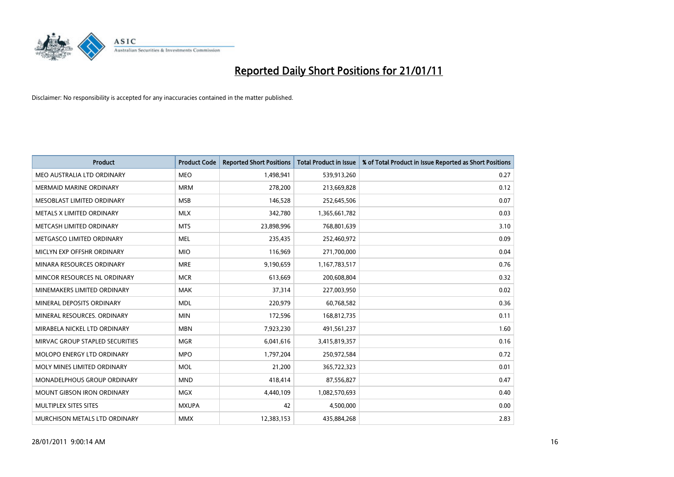

| Product                            | <b>Product Code</b> | <b>Reported Short Positions</b> | Total Product in Issue | % of Total Product in Issue Reported as Short Positions |
|------------------------------------|---------------------|---------------------------------|------------------------|---------------------------------------------------------|
| MEO AUSTRALIA LTD ORDINARY         | <b>MEO</b>          | 1,498,941                       | 539,913,260            | 0.27                                                    |
| <b>MERMAID MARINE ORDINARY</b>     | <b>MRM</b>          | 278,200                         | 213,669,828            | 0.12                                                    |
| MESOBLAST LIMITED ORDINARY         | <b>MSB</b>          | 146,528                         | 252,645,506            | 0.07                                                    |
| METALS X LIMITED ORDINARY          | <b>MLX</b>          | 342,780                         | 1,365,661,782          | 0.03                                                    |
| METCASH LIMITED ORDINARY           | <b>MTS</b>          | 23,898,996                      | 768,801,639            | 3.10                                                    |
| METGASCO LIMITED ORDINARY          | <b>MEL</b>          | 235,435                         | 252,460,972            | 0.09                                                    |
| MICLYN EXP OFFSHR ORDINARY         | <b>MIO</b>          | 116,969                         | 271,700,000            | 0.04                                                    |
| MINARA RESOURCES ORDINARY          | <b>MRE</b>          | 9,190,659                       | 1,167,783,517          | 0.76                                                    |
| MINCOR RESOURCES NL ORDINARY       | <b>MCR</b>          | 613,669                         | 200,608,804            | 0.32                                                    |
| MINEMAKERS LIMITED ORDINARY        | <b>MAK</b>          | 37,314                          | 227,003,950            | 0.02                                                    |
| MINERAL DEPOSITS ORDINARY          | <b>MDL</b>          | 220,979                         | 60,768,582             | 0.36                                                    |
| MINERAL RESOURCES, ORDINARY        | <b>MIN</b>          | 172,596                         | 168,812,735            | 0.11                                                    |
| MIRABELA NICKEL LTD ORDINARY       | <b>MBN</b>          | 7,923,230                       | 491,561,237            | 1.60                                                    |
| MIRVAC GROUP STAPLED SECURITIES    | <b>MGR</b>          | 6,041,616                       | 3,415,819,357          | 0.16                                                    |
| MOLOPO ENERGY LTD ORDINARY         | <b>MPO</b>          | 1,797,204                       | 250,972,584            | 0.72                                                    |
| MOLY MINES LIMITED ORDINARY        | <b>MOL</b>          | 21,200                          | 365,722,323            | 0.01                                                    |
| <b>MONADELPHOUS GROUP ORDINARY</b> | <b>MND</b>          | 418,414                         | 87,556,827             | 0.47                                                    |
| MOUNT GIBSON IRON ORDINARY         | <b>MGX</b>          | 4,440,109                       | 1,082,570,693          | 0.40                                                    |
| MULTIPLEX SITES SITES              | <b>MXUPA</b>        | 42                              | 4,500,000              | 0.00                                                    |
| MURCHISON METALS LTD ORDINARY      | <b>MMX</b>          | 12,383,153                      | 435,884,268            | 2.83                                                    |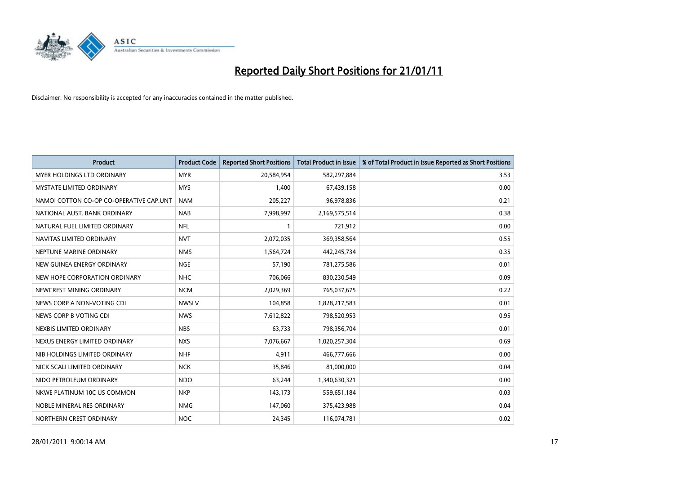

| Product                                 | <b>Product Code</b> | <b>Reported Short Positions</b> | <b>Total Product in Issue</b> | % of Total Product in Issue Reported as Short Positions |
|-----------------------------------------|---------------------|---------------------------------|-------------------------------|---------------------------------------------------------|
| MYER HOLDINGS LTD ORDINARY              | <b>MYR</b>          | 20,584,954                      | 582,297,884                   | 3.53                                                    |
| MYSTATE LIMITED ORDINARY                | <b>MYS</b>          | 1,400                           | 67,439,158                    | 0.00                                                    |
| NAMOI COTTON CO-OP CO-OPERATIVE CAP.UNT | <b>NAM</b>          | 205,227                         | 96,978,836                    | 0.21                                                    |
| NATIONAL AUST. BANK ORDINARY            | <b>NAB</b>          | 7,998,997                       | 2,169,575,514                 | 0.38                                                    |
| NATURAL FUEL LIMITED ORDINARY           | <b>NFL</b>          |                                 | 721,912                       | 0.00                                                    |
| NAVITAS LIMITED ORDINARY                | <b>NVT</b>          | 2,072,035                       | 369,358,564                   | 0.55                                                    |
| NEPTUNE MARINE ORDINARY                 | <b>NMS</b>          | 1,564,724                       | 442,245,734                   | 0.35                                                    |
| NEW GUINEA ENERGY ORDINARY              | <b>NGE</b>          | 57,190                          | 781,275,586                   | 0.01                                                    |
| NEW HOPE CORPORATION ORDINARY           | <b>NHC</b>          | 706,066                         | 830,230,549                   | 0.09                                                    |
| NEWCREST MINING ORDINARY                | <b>NCM</b>          | 2,029,369                       | 765,037,675                   | 0.22                                                    |
| NEWS CORP A NON-VOTING CDI              | <b>NWSLV</b>        | 104,858                         | 1,828,217,583                 | 0.01                                                    |
| NEWS CORP B VOTING CDI                  | <b>NWS</b>          | 7,612,822                       | 798,520,953                   | 0.95                                                    |
| NEXBIS LIMITED ORDINARY                 | <b>NBS</b>          | 63,733                          | 798,356,704                   | 0.01                                                    |
| NEXUS ENERGY LIMITED ORDINARY           | <b>NXS</b>          | 7,076,667                       | 1,020,257,304                 | 0.69                                                    |
| NIB HOLDINGS LIMITED ORDINARY           | <b>NHF</b>          | 4,911                           | 466,777,666                   | 0.00                                                    |
| NICK SCALI LIMITED ORDINARY             | <b>NCK</b>          | 35,846                          | 81,000,000                    | 0.04                                                    |
| NIDO PETROLEUM ORDINARY                 | <b>NDO</b>          | 63,244                          | 1,340,630,321                 | 0.00                                                    |
| NKWE PLATINUM 10C US COMMON             | <b>NKP</b>          | 143,173                         | 559,651,184                   | 0.03                                                    |
| NOBLE MINERAL RES ORDINARY              | <b>NMG</b>          | 147,060                         | 375,423,988                   | 0.04                                                    |
| NORTHERN CREST ORDINARY                 | <b>NOC</b>          | 24,345                          | 116,074,781                   | 0.02                                                    |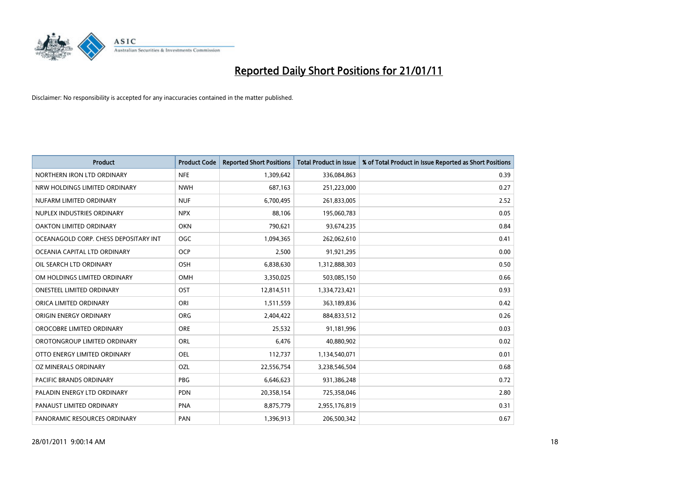

| <b>Product</b>                        | <b>Product Code</b> | <b>Reported Short Positions</b> | Total Product in Issue | % of Total Product in Issue Reported as Short Positions |
|---------------------------------------|---------------------|---------------------------------|------------------------|---------------------------------------------------------|
| NORTHERN IRON LTD ORDINARY            | <b>NFE</b>          | 1,309,642                       | 336,084,863            | 0.39                                                    |
| NRW HOLDINGS LIMITED ORDINARY         | <b>NWH</b>          | 687,163                         | 251,223,000            | 0.27                                                    |
| NUFARM LIMITED ORDINARY               | <b>NUF</b>          | 6,700,495                       | 261,833,005            | 2.52                                                    |
| NUPLEX INDUSTRIES ORDINARY            | <b>NPX</b>          | 88,106                          | 195,060,783            | 0.05                                                    |
| <b>OAKTON LIMITED ORDINARY</b>        | <b>OKN</b>          | 790,621                         | 93,674,235             | 0.84                                                    |
| OCEANAGOLD CORP. CHESS DEPOSITARY INT | <b>OGC</b>          | 1,094,365                       | 262,062,610            | 0.41                                                    |
| OCEANIA CAPITAL LTD ORDINARY          | <b>OCP</b>          | 2.500                           | 91,921,295             | 0.00                                                    |
| OIL SEARCH LTD ORDINARY               | <b>OSH</b>          | 6,838,630                       | 1,312,888,303          | 0.50                                                    |
| OM HOLDINGS LIMITED ORDINARY          | <b>OMH</b>          | 3,350,025                       | 503,085,150            | 0.66                                                    |
| <b>ONESTEEL LIMITED ORDINARY</b>      | OST                 | 12,814,511                      | 1,334,723,421          | 0.93                                                    |
| ORICA LIMITED ORDINARY                | ORI                 | 1,511,559                       | 363,189,836            | 0.42                                                    |
| ORIGIN ENERGY ORDINARY                | ORG                 | 2,404,422                       | 884,833,512            | 0.26                                                    |
| OROCOBRE LIMITED ORDINARY             | <b>ORE</b>          | 25.532                          | 91,181,996             | 0.03                                                    |
| OROTONGROUP LIMITED ORDINARY          | ORL                 | 6.476                           | 40,880,902             | 0.02                                                    |
| OTTO ENERGY LIMITED ORDINARY          | <b>OEL</b>          | 112,737                         | 1,134,540,071          | 0.01                                                    |
| OZ MINERALS ORDINARY                  | OZL                 | 22,556,754                      | 3,238,546,504          | 0.68                                                    |
| <b>PACIFIC BRANDS ORDINARY</b>        | <b>PBG</b>          | 6,646,623                       | 931,386,248            | 0.72                                                    |
| PALADIN ENERGY LTD ORDINARY           | <b>PDN</b>          | 20,358,154                      | 725,358,046            | 2.80                                                    |
| PANAUST LIMITED ORDINARY              | <b>PNA</b>          | 8,875,779                       | 2,955,176,819          | 0.31                                                    |
| PANORAMIC RESOURCES ORDINARY          | PAN                 | 1,396,913                       | 206,500,342            | 0.67                                                    |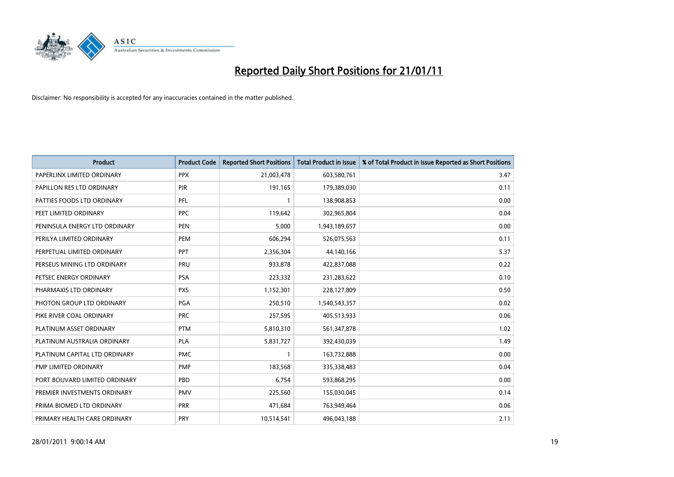

| <b>Product</b>                | <b>Product Code</b> | <b>Reported Short Positions</b> | Total Product in Issue | % of Total Product in Issue Reported as Short Positions |
|-------------------------------|---------------------|---------------------------------|------------------------|---------------------------------------------------------|
| PAPERLINX LIMITED ORDINARY    | <b>PPX</b>          | 21,003,478                      | 603,580,761            | 3.47                                                    |
| PAPILLON RES LTD ORDINARY     | PIR                 | 191,165                         | 179,389,030            | 0.11                                                    |
| PATTIES FOODS LTD ORDINARY    | PFL                 |                                 | 138,908,853            | 0.00                                                    |
| PEET LIMITED ORDINARY         | <b>PPC</b>          | 119,642                         | 302,965,804            | 0.04                                                    |
| PENINSULA ENERGY LTD ORDINARY | <b>PEN</b>          | 5,000                           | 1,943,189,657          | 0.00                                                    |
| PERILYA LIMITED ORDINARY      | PEM                 | 606,294                         | 526,075,563            | 0.11                                                    |
| PERPETUAL LIMITED ORDINARY    | <b>PPT</b>          | 2,356,304                       | 44,140,166             | 5.37                                                    |
| PERSEUS MINING LTD ORDINARY   | PRU                 | 933,878                         | 422,837,088            | 0.22                                                    |
| PETSEC ENERGY ORDINARY        | <b>PSA</b>          | 223,332                         | 231,283,622            | 0.10                                                    |
| PHARMAXIS LTD ORDINARY        | <b>PXS</b>          | 1,152,301                       | 228,127,809            | 0.50                                                    |
| PHOTON GROUP LTD ORDINARY     | PGA                 | 250,510                         | 1,540,543,357          | 0.02                                                    |
| PIKE RIVER COAL ORDINARY      | <b>PRC</b>          | 257,595                         | 405,513,933            | 0.06                                                    |
| PLATINUM ASSET ORDINARY       | <b>PTM</b>          | 5,810,310                       | 561,347,878            | 1.02                                                    |
| PLATINUM AUSTRALIA ORDINARY   | <b>PLA</b>          | 5,831,727                       | 392,430,039            | 1.49                                                    |
| PLATINUM CAPITAL LTD ORDINARY | <b>PMC</b>          |                                 | 163,732,888            | 0.00                                                    |
| PMP LIMITED ORDINARY          | PMP                 | 183,568                         | 335,338,483            | 0.04                                                    |
| PORT BOUVARD LIMITED ORDINARY | PBD                 | 6,754                           | 593,868,295            | 0.00                                                    |
| PREMIER INVESTMENTS ORDINARY  | <b>PMV</b>          | 225,560                         | 155,030,045            | 0.14                                                    |
| PRIMA BIOMED LTD ORDINARY     | <b>PRR</b>          | 471,684                         | 763,949,464            | 0.06                                                    |
| PRIMARY HEALTH CARE ORDINARY  | PRY                 | 10,514,541                      | 496,043,188            | 2.11                                                    |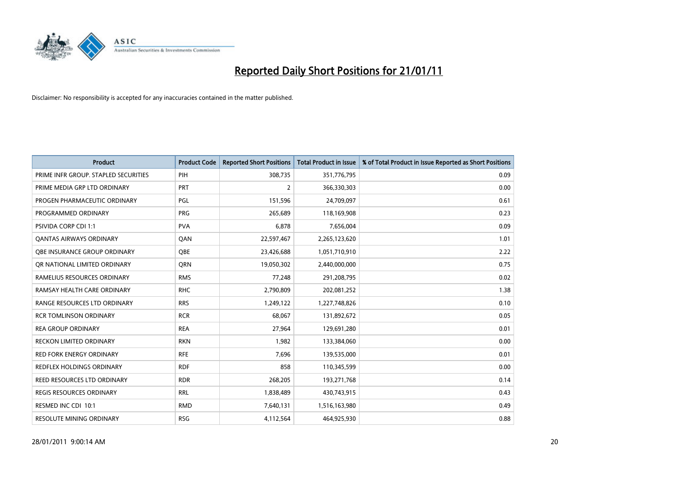

| Product                              | <b>Product Code</b> | <b>Reported Short Positions</b> | <b>Total Product in Issue</b> | % of Total Product in Issue Reported as Short Positions |
|--------------------------------------|---------------------|---------------------------------|-------------------------------|---------------------------------------------------------|
| PRIME INFR GROUP. STAPLED SECURITIES | PIH                 | 308,735                         | 351,776,795                   | 0.09                                                    |
| PRIME MEDIA GRP LTD ORDINARY         | <b>PRT</b>          | 2                               | 366,330,303                   | 0.00                                                    |
| PROGEN PHARMACEUTIC ORDINARY         | PGL                 | 151,596                         | 24,709,097                    | 0.61                                                    |
| PROGRAMMED ORDINARY                  | <b>PRG</b>          | 265,689                         | 118,169,908                   | 0.23                                                    |
| PSIVIDA CORP CDI 1:1                 | <b>PVA</b>          | 6,878                           | 7,656,004                     | 0.09                                                    |
| <b>QANTAS AIRWAYS ORDINARY</b>       | QAN                 | 22,597,467                      | 2,265,123,620                 | 1.01                                                    |
| OBE INSURANCE GROUP ORDINARY         | <b>OBE</b>          | 23,426,688                      | 1,051,710,910                 | 2.22                                                    |
| OR NATIONAL LIMITED ORDINARY         | <b>ORN</b>          | 19,050,302                      | 2,440,000,000                 | 0.75                                                    |
| RAMELIUS RESOURCES ORDINARY          | <b>RMS</b>          | 77,248                          | 291,208,795                   | 0.02                                                    |
| RAMSAY HEALTH CARE ORDINARY          | <b>RHC</b>          | 2,790,809                       | 202,081,252                   | 1.38                                                    |
| RANGE RESOURCES LTD ORDINARY         | <b>RRS</b>          | 1,249,122                       | 1,227,748,826                 | 0.10                                                    |
| <b>RCR TOMLINSON ORDINARY</b>        | <b>RCR</b>          | 68,067                          | 131,892,672                   | 0.05                                                    |
| <b>REA GROUP ORDINARY</b>            | <b>REA</b>          | 27,964                          | 129,691,280                   | 0.01                                                    |
| <b>RECKON LIMITED ORDINARY</b>       | <b>RKN</b>          | 1,982                           | 133,384,060                   | 0.00                                                    |
| <b>RED FORK ENERGY ORDINARY</b>      | <b>RFE</b>          | 7,696                           | 139,535,000                   | 0.01                                                    |
| REDFLEX HOLDINGS ORDINARY            | <b>RDF</b>          | 858                             | 110,345,599                   | 0.00                                                    |
| REED RESOURCES LTD ORDINARY          | <b>RDR</b>          | 268,205                         | 193,271,768                   | 0.14                                                    |
| <b>REGIS RESOURCES ORDINARY</b>      | <b>RRL</b>          | 1,838,489                       | 430,743,915                   | 0.43                                                    |
| RESMED INC CDI 10:1                  | <b>RMD</b>          | 7,640,131                       | 1,516,163,980                 | 0.49                                                    |
| <b>RESOLUTE MINING ORDINARY</b>      | <b>RSG</b>          | 4,112,564                       | 464,925,930                   | 0.88                                                    |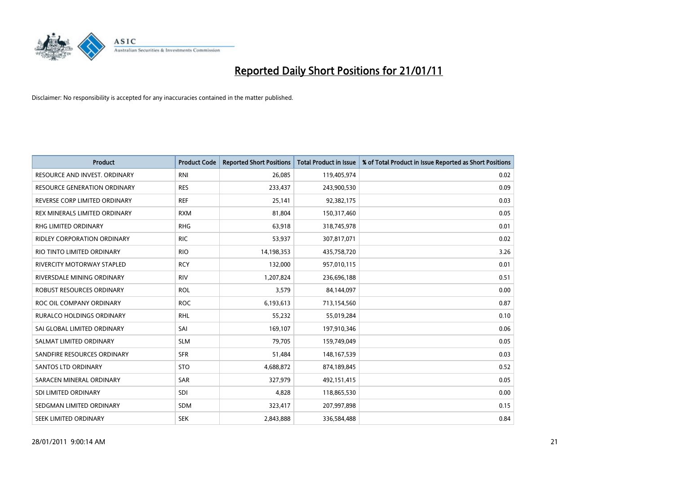

| <b>Product</b>                     | <b>Product Code</b> | <b>Reported Short Positions</b> | <b>Total Product in Issue</b> | % of Total Product in Issue Reported as Short Positions |
|------------------------------------|---------------------|---------------------------------|-------------------------------|---------------------------------------------------------|
| RESOURCE AND INVEST. ORDINARY      | <b>RNI</b>          | 26,085                          | 119,405,974                   | 0.02                                                    |
| RESOURCE GENERATION ORDINARY       | <b>RES</b>          | 233,437                         | 243,900,530                   | 0.09                                                    |
| REVERSE CORP LIMITED ORDINARY      | <b>REF</b>          | 25,141                          | 92,382,175                    | 0.03                                                    |
| REX MINERALS LIMITED ORDINARY      | <b>RXM</b>          | 81,804                          | 150,317,460                   | 0.05                                                    |
| <b>RHG LIMITED ORDINARY</b>        | <b>RHG</b>          | 63,918                          | 318,745,978                   | 0.01                                                    |
| <b>RIDLEY CORPORATION ORDINARY</b> | <b>RIC</b>          | 53,937                          | 307,817,071                   | 0.02                                                    |
| RIO TINTO LIMITED ORDINARY         | <b>RIO</b>          | 14,198,353                      | 435,758,720                   | 3.26                                                    |
| RIVERCITY MOTORWAY STAPLED         | <b>RCY</b>          | 132,000                         | 957,010,115                   | 0.01                                                    |
| RIVERSDALE MINING ORDINARY         | <b>RIV</b>          | 1,207,824                       | 236,696,188                   | 0.51                                                    |
| ROBUST RESOURCES ORDINARY          | <b>ROL</b>          | 3,579                           | 84,144,097                    | 0.00                                                    |
| ROC OIL COMPANY ORDINARY           | <b>ROC</b>          | 6,193,613                       | 713,154,560                   | 0.87                                                    |
| <b>RURALCO HOLDINGS ORDINARY</b>   | <b>RHL</b>          | 55,232                          | 55,019,284                    | 0.10                                                    |
| SAI GLOBAL LIMITED ORDINARY        | SAI                 | 169,107                         | 197,910,346                   | 0.06                                                    |
| SALMAT LIMITED ORDINARY            | <b>SLM</b>          | 79,705                          | 159,749,049                   | 0.05                                                    |
| SANDFIRE RESOURCES ORDINARY        | <b>SFR</b>          | 51,484                          | 148, 167, 539                 | 0.03                                                    |
| <b>SANTOS LTD ORDINARY</b>         | <b>STO</b>          | 4,688,872                       | 874,189,845                   | 0.52                                                    |
| SARACEN MINERAL ORDINARY           | <b>SAR</b>          | 327,979                         | 492,151,415                   | 0.05                                                    |
| SDI LIMITED ORDINARY               | SDI                 | 4,828                           | 118,865,530                   | 0.00                                                    |
| SEDGMAN LIMITED ORDINARY           | <b>SDM</b>          | 323,417                         | 207,997,898                   | 0.15                                                    |
| SEEK LIMITED ORDINARY              | <b>SEK</b>          | 2,843,888                       | 336,584,488                   | 0.84                                                    |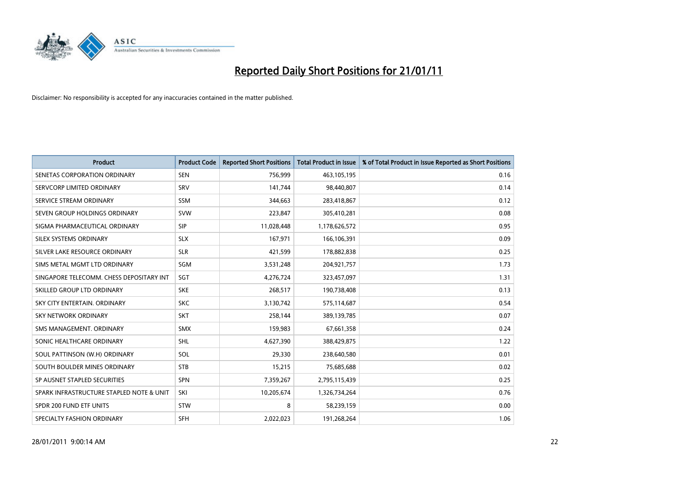

| Product                                  | <b>Product Code</b> | <b>Reported Short Positions</b> | <b>Total Product in Issue</b> | % of Total Product in Issue Reported as Short Positions |
|------------------------------------------|---------------------|---------------------------------|-------------------------------|---------------------------------------------------------|
| SENETAS CORPORATION ORDINARY             | <b>SEN</b>          | 756,999                         | 463,105,195                   | 0.16                                                    |
| SERVCORP LIMITED ORDINARY                | SRV                 | 141,744                         | 98,440,807                    | 0.14                                                    |
| SERVICE STREAM ORDINARY                  | <b>SSM</b>          | 344,663                         | 283,418,867                   | 0.12                                                    |
| SEVEN GROUP HOLDINGS ORDINARY            | <b>SVW</b>          | 223,847                         | 305,410,281                   | 0.08                                                    |
| SIGMA PHARMACEUTICAL ORDINARY            | <b>SIP</b>          | 11,028,448                      | 1,178,626,572                 | 0.95                                                    |
| SILEX SYSTEMS ORDINARY                   | <b>SLX</b>          | 167,971                         | 166,106,391                   | 0.09                                                    |
| SILVER LAKE RESOURCE ORDINARY            | <b>SLR</b>          | 421,599                         | 178,882,838                   | 0.25                                                    |
| SIMS METAL MGMT LTD ORDINARY             | <b>SGM</b>          | 3,531,248                       | 204,921,757                   | 1.73                                                    |
| SINGAPORE TELECOMM. CHESS DEPOSITARY INT | SGT                 | 4,276,724                       | 323,457,097                   | 1.31                                                    |
| SKILLED GROUP LTD ORDINARY               | <b>SKE</b>          | 268,517                         | 190,738,408                   | 0.13                                                    |
| SKY CITY ENTERTAIN, ORDINARY             | <b>SKC</b>          | 3,130,742                       | 575,114,687                   | 0.54                                                    |
| <b>SKY NETWORK ORDINARY</b>              | <b>SKT</b>          | 258,144                         | 389,139,785                   | 0.07                                                    |
| SMS MANAGEMENT, ORDINARY                 | <b>SMX</b>          | 159,983                         | 67,661,358                    | 0.24                                                    |
| SONIC HEALTHCARE ORDINARY                | <b>SHL</b>          | 4,627,390                       | 388,429,875                   | 1.22                                                    |
| SOUL PATTINSON (W.H) ORDINARY            | SOL                 | 29,330                          | 238,640,580                   | 0.01                                                    |
| SOUTH BOULDER MINES ORDINARY             | <b>STB</b>          | 15,215                          | 75,685,688                    | 0.02                                                    |
| SP AUSNET STAPLED SECURITIES             | <b>SPN</b>          | 7,359,267                       | 2,795,115,439                 | 0.25                                                    |
| SPARK INFRASTRUCTURE STAPLED NOTE & UNIT | SKI                 | 10,205,674                      | 1,326,734,264                 | 0.76                                                    |
| SPDR 200 FUND ETF UNITS                  | <b>STW</b>          | 8                               | 58,239,159                    | 0.00                                                    |
| SPECIALTY FASHION ORDINARY               | <b>SFH</b>          | 2,022,023                       | 191,268,264                   | 1.06                                                    |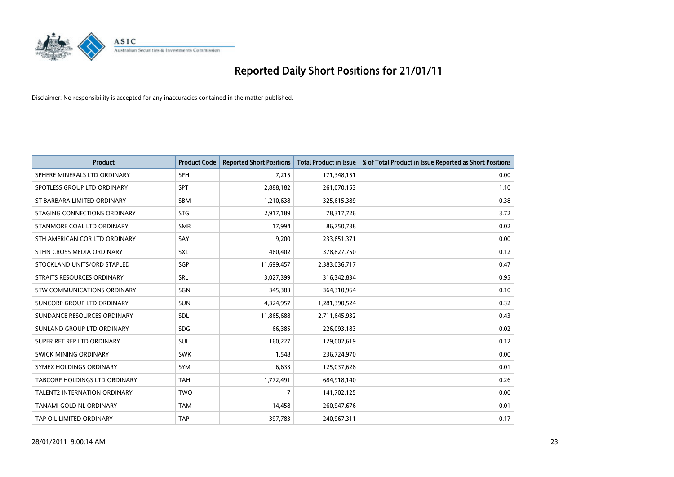

| <b>Product</b>                      | <b>Product Code</b> | <b>Reported Short Positions</b> | <b>Total Product in Issue</b> | % of Total Product in Issue Reported as Short Positions |
|-------------------------------------|---------------------|---------------------------------|-------------------------------|---------------------------------------------------------|
| SPHERE MINERALS LTD ORDINARY        | <b>SPH</b>          | 7,215                           | 171,348,151                   | 0.00                                                    |
| SPOTLESS GROUP LTD ORDINARY         | <b>SPT</b>          | 2,888,182                       | 261,070,153                   | 1.10                                                    |
| ST BARBARA LIMITED ORDINARY         | <b>SBM</b>          | 1,210,638                       | 325,615,389                   | 0.38                                                    |
| STAGING CONNECTIONS ORDINARY        | <b>STG</b>          | 2,917,189                       | 78,317,726                    | 3.72                                                    |
| STANMORE COAL LTD ORDINARY          | <b>SMR</b>          | 17,994                          | 86,750,738                    | 0.02                                                    |
| STH AMERICAN COR LTD ORDINARY       | SAY                 | 9,200                           | 233,651,371                   | 0.00                                                    |
| STHN CROSS MEDIA ORDINARY           | SXL                 | 460,402                         | 378,827,750                   | 0.12                                                    |
| STOCKLAND UNITS/ORD STAPLED         | SGP                 | 11,699,457                      | 2,383,036,717                 | 0.47                                                    |
| STRAITS RESOURCES ORDINARY          | <b>SRL</b>          | 3,027,399                       | 316, 342, 834                 | 0.95                                                    |
| <b>STW COMMUNICATIONS ORDINARY</b>  | SGN                 | 345,383                         | 364,310,964                   | 0.10                                                    |
| SUNCORP GROUP LTD ORDINARY          | <b>SUN</b>          | 4,324,957                       | 1,281,390,524                 | 0.32                                                    |
| SUNDANCE RESOURCES ORDINARY         | SDL                 | 11,865,688                      | 2,711,645,932                 | 0.43                                                    |
| SUNLAND GROUP LTD ORDINARY          | <b>SDG</b>          | 66,385                          | 226,093,183                   | 0.02                                                    |
| SUPER RET REP LTD ORDINARY          | <b>SUL</b>          | 160,227                         | 129,002,619                   | 0.12                                                    |
| SWICK MINING ORDINARY               | <b>SWK</b>          | 1,548                           | 236,724,970                   | 0.00                                                    |
| SYMEX HOLDINGS ORDINARY             | <b>SYM</b>          | 6,633                           | 125,037,628                   | 0.01                                                    |
| TABCORP HOLDINGS LTD ORDINARY       | <b>TAH</b>          | 1,772,491                       | 684,918,140                   | 0.26                                                    |
| <b>TALENT2 INTERNATION ORDINARY</b> | <b>TWO</b>          | 7                               | 141,702,125                   | 0.00                                                    |
| TANAMI GOLD NL ORDINARY             | <b>TAM</b>          | 14,458                          | 260,947,676                   | 0.01                                                    |
| TAP OIL LIMITED ORDINARY            | <b>TAP</b>          | 397,783                         | 240,967,311                   | 0.17                                                    |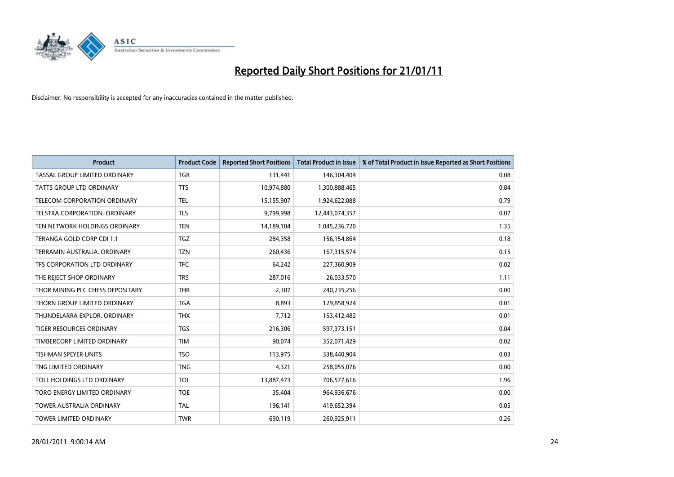

| <b>Product</b>                       | <b>Product Code</b> | <b>Reported Short Positions</b> | <b>Total Product in Issue</b> | % of Total Product in Issue Reported as Short Positions |
|--------------------------------------|---------------------|---------------------------------|-------------------------------|---------------------------------------------------------|
| <b>TASSAL GROUP LIMITED ORDINARY</b> | <b>TGR</b>          | 131,441                         | 146,304,404                   | 0.08                                                    |
| TATTS GROUP LTD ORDINARY             | <b>TTS</b>          | 10,974,880                      | 1,300,888,465                 | 0.84                                                    |
| TELECOM CORPORATION ORDINARY         | <b>TEL</b>          | 15,155,907                      | 1,924,622,088                 | 0.79                                                    |
| TELSTRA CORPORATION. ORDINARY        | <b>TLS</b>          | 9,799,998                       | 12,443,074,357                | 0.07                                                    |
| TEN NETWORK HOLDINGS ORDINARY        | <b>TEN</b>          | 14,189,104                      | 1,045,236,720                 | 1.35                                                    |
| TERANGA GOLD CORP CDI 1:1            | <b>TGZ</b>          | 284,358                         | 156,154,864                   | 0.18                                                    |
| TERRAMIN AUSTRALIA, ORDINARY         | <b>TZN</b>          | 260,436                         | 167,315,574                   | 0.15                                                    |
| TFS CORPORATION LTD ORDINARY         | <b>TFC</b>          | 64,242                          | 227,360,909                   | 0.02                                                    |
| THE REJECT SHOP ORDINARY             | <b>TRS</b>          | 287,016                         | 26,033,570                    | 1.11                                                    |
| THOR MINING PLC CHESS DEPOSITARY     | <b>THR</b>          | 2,307                           | 240,235,256                   | 0.00                                                    |
| THORN GROUP LIMITED ORDINARY         | <b>TGA</b>          | 8,893                           | 129,858,924                   | 0.01                                                    |
| THUNDELARRA EXPLOR, ORDINARY         | <b>THX</b>          | 7,712                           | 153,412,482                   | 0.01                                                    |
| <b>TIGER RESOURCES ORDINARY</b>      | <b>TGS</b>          | 216,306                         | 597,373,151                   | 0.04                                                    |
| TIMBERCORP LIMITED ORDINARY          | <b>TIM</b>          | 90,074                          | 352,071,429                   | 0.02                                                    |
| <b>TISHMAN SPEYER UNITS</b>          | <b>TSO</b>          | 113,975                         | 338,440,904                   | 0.03                                                    |
| TNG LIMITED ORDINARY                 | <b>TNG</b>          | 4,321                           | 258,055,076                   | 0.00                                                    |
| TOLL HOLDINGS LTD ORDINARY           | <b>TOL</b>          | 13,887,473                      | 706,577,616                   | 1.96                                                    |
| TORO ENERGY LIMITED ORDINARY         | <b>TOE</b>          | 35,404                          | 964,936,676                   | 0.00                                                    |
| <b>TOWER AUSTRALIA ORDINARY</b>      | <b>TAL</b>          | 196,141                         | 419,652,394                   | 0.05                                                    |
| TOWER LIMITED ORDINARY               | <b>TWR</b>          | 690,119                         | 260,925,911                   | 0.26                                                    |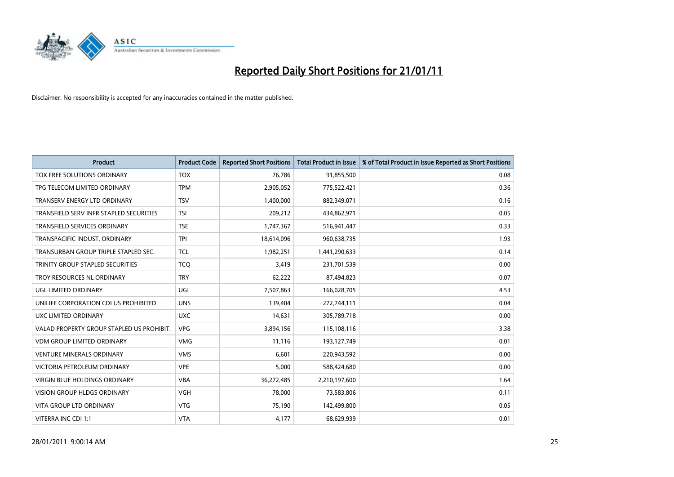

| <b>Product</b>                            | <b>Product Code</b> | <b>Reported Short Positions</b> | <b>Total Product in Issue</b> | % of Total Product in Issue Reported as Short Positions |
|-------------------------------------------|---------------------|---------------------------------|-------------------------------|---------------------------------------------------------|
| TOX FREE SOLUTIONS ORDINARY               | <b>TOX</b>          | 76,786                          | 91,855,500                    | 0.08                                                    |
| TPG TELECOM LIMITED ORDINARY              | <b>TPM</b>          | 2,905,052                       | 775,522,421                   | 0.36                                                    |
| TRANSERV ENERGY LTD ORDINARY              | <b>TSV</b>          | 1,400,000                       | 882,349,071                   | 0.16                                                    |
| TRANSFIELD SERV INFR STAPLED SECURITIES   | <b>TSI</b>          | 209,212                         | 434,862,971                   | 0.05                                                    |
| <b>TRANSFIELD SERVICES ORDINARY</b>       | <b>TSE</b>          | 1,747,367                       | 516,941,447                   | 0.33                                                    |
| TRANSPACIFIC INDUST, ORDINARY             | <b>TPI</b>          | 18,614,096                      | 960,638,735                   | 1.93                                                    |
| TRANSURBAN GROUP TRIPLE STAPLED SEC.      | <b>TCL</b>          | 1,982,251                       | 1,441,290,633                 | 0.14                                                    |
| <b>TRINITY GROUP STAPLED SECURITIES</b>   | <b>TCQ</b>          | 3,419                           | 231,701,539                   | 0.00                                                    |
| TROY RESOURCES NL ORDINARY                | <b>TRY</b>          | 62,222                          | 87,494,823                    | 0.07                                                    |
| UGL LIMITED ORDINARY                      | <b>UGL</b>          | 7,507,863                       | 166,028,705                   | 4.53                                                    |
| UNILIFE CORPORATION CDI US PROHIBITED     | <b>UNS</b>          | 139,404                         | 272,744,111                   | 0.04                                                    |
| UXC LIMITED ORDINARY                      | <b>UXC</b>          | 14,631                          | 305,789,718                   | 0.00                                                    |
| VALAD PROPERTY GROUP STAPLED US PROHIBIT. | <b>VPG</b>          | 3,894,156                       | 115,108,116                   | 3.38                                                    |
| <b>VDM GROUP LIMITED ORDINARY</b>         | <b>VMG</b>          | 11,116                          | 193,127,749                   | 0.01                                                    |
| <b>VENTURE MINERALS ORDINARY</b>          | <b>VMS</b>          | 6,601                           | 220,943,592                   | 0.00                                                    |
| VICTORIA PETROLEUM ORDINARY               | <b>VPE</b>          | 5,000                           | 588,424,680                   | 0.00                                                    |
| <b>VIRGIN BLUE HOLDINGS ORDINARY</b>      | <b>VBA</b>          | 36,272,485                      | 2,210,197,600                 | 1.64                                                    |
| VISION GROUP HLDGS ORDINARY               | <b>VGH</b>          | 78,000                          | 73,583,806                    | 0.11                                                    |
| <b>VITA GROUP LTD ORDINARY</b>            | <b>VTG</b>          | 75,190                          | 142,499,800                   | 0.05                                                    |
| VITERRA INC CDI 1:1                       | <b>VTA</b>          | 4,177                           | 68,629,939                    | 0.01                                                    |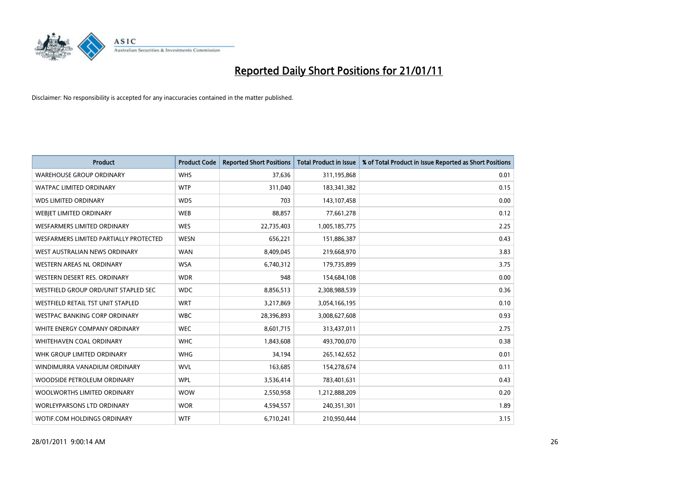

| <b>Product</b>                         | <b>Product Code</b> | <b>Reported Short Positions</b> | <b>Total Product in Issue</b> | % of Total Product in Issue Reported as Short Positions |
|----------------------------------------|---------------------|---------------------------------|-------------------------------|---------------------------------------------------------|
| <b>WAREHOUSE GROUP ORDINARY</b>        | <b>WHS</b>          | 37,636                          | 311,195,868                   | 0.01                                                    |
| <b>WATPAC LIMITED ORDINARY</b>         | <b>WTP</b>          | 311,040                         | 183,341,382                   | 0.15                                                    |
| <b>WDS LIMITED ORDINARY</b>            | <b>WDS</b>          | 703                             | 143,107,458                   | 0.00                                                    |
| WEBJET LIMITED ORDINARY                | <b>WEB</b>          | 88,857                          | 77,661,278                    | 0.12                                                    |
| <b>WESFARMERS LIMITED ORDINARY</b>     | WES                 | 22,735,403                      | 1,005,185,775                 | 2.25                                                    |
| WESFARMERS LIMITED PARTIALLY PROTECTED | <b>WESN</b>         | 656,221                         | 151,886,387                   | 0.43                                                    |
| WEST AUSTRALIAN NEWS ORDINARY          | <b>WAN</b>          | 8,409,045                       | 219,668,970                   | 3.83                                                    |
| <b>WESTERN AREAS NL ORDINARY</b>       | <b>WSA</b>          | 6,740,312                       | 179,735,899                   | 3.75                                                    |
| WESTERN DESERT RES. ORDINARY           | <b>WDR</b>          | 948                             | 154,684,108                   | 0.00                                                    |
| WESTFIELD GROUP ORD/UNIT STAPLED SEC   | <b>WDC</b>          | 8,856,513                       | 2,308,988,539                 | 0.36                                                    |
| WESTFIELD RETAIL TST UNIT STAPLED      | <b>WRT</b>          | 3,217,869                       | 3,054,166,195                 | 0.10                                                    |
| WESTPAC BANKING CORP ORDINARY          | <b>WBC</b>          | 28,396,893                      | 3,008,627,608                 | 0.93                                                    |
| WHITE ENERGY COMPANY ORDINARY          | <b>WEC</b>          | 8,601,715                       | 313,437,011                   | 2.75                                                    |
| <b>WHITEHAVEN COAL ORDINARY</b>        | <b>WHC</b>          | 1,843,608                       | 493,700,070                   | 0.38                                                    |
| WHK GROUP LIMITED ORDINARY             | <b>WHG</b>          | 34,194                          | 265,142,652                   | 0.01                                                    |
| WINDIMURRA VANADIUM ORDINARY           | <b>WVL</b>          | 163,685                         | 154,278,674                   | 0.11                                                    |
| WOODSIDE PETROLEUM ORDINARY            | <b>WPL</b>          | 3,536,414                       | 783,401,631                   | 0.43                                                    |
| WOOLWORTHS LIMITED ORDINARY            | <b>WOW</b>          | 2,550,958                       | 1,212,888,209                 | 0.20                                                    |
| <b>WORLEYPARSONS LTD ORDINARY</b>      | <b>WOR</b>          | 4,594,557                       | 240,351,301                   | 1.89                                                    |
| WOTIF.COM HOLDINGS ORDINARY            | <b>WTF</b>          | 6,710,241                       | 210,950,444                   | 3.15                                                    |